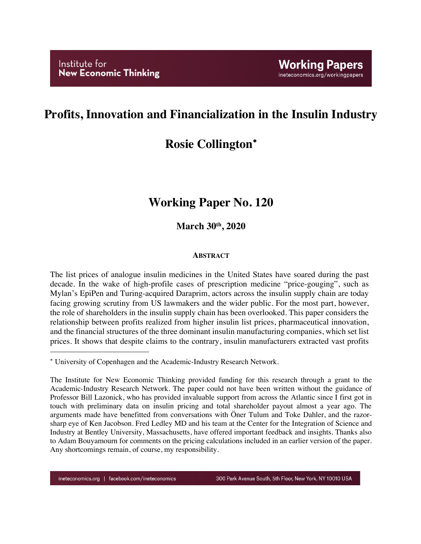## **Profits, Innovation and Financialization in the Insulin Industry**

# **Rosie Collington**\*

# **Working Paper No. 120**

**March 30th, 2020**

### **ABSTRACT**

The list prices of analogue insulin medicines in the United States have soared during the past decade. In the wake of high-profile cases of prescription medicine "price-gouging", such as Mylan's EpiPen and Turing-acquired Daraprim, actors across the insulin supply chain are today facing growing scrutiny from US lawmakers and the wider public. For the most part, however, the role of shareholders in the insulin supply chain has been overlooked. This paper considers the relationship between profits realized from higher insulin list prices, pharmaceutical innovation, and the financial structures of the three dominant insulin manufacturing companies, which set list prices. It shows that despite claims to the contrary, insulin manufacturers extracted vast profits

1

<sup>\*</sup> University of Copenhagen and the Academic-Industry Research Network.

The Institute for New Economic Thinking provided funding for this research through a grant to the Academic-Industry Research Network. The paper could not have been written without the guidance of Professor Bill Lazonick, who has provided invaluable support from across the Atlantic since I first got in touch with preliminary data on insulin pricing and total shareholder payout almost a year ago. The arguments made have benefitted from conversations with Öner Tulum and Toke Dahler, and the razorsharp eye of Ken Jacobson. Fred Ledley MD and his team at the Center for the Integration of Science and Industry at Bentley University, Massachusetts, have offered important feedback and insights. Thanks also to Adam Bouyamourn for comments on the pricing calculations included in an earlier version of the paper. Any shortcomings remain, of course, my responsibility.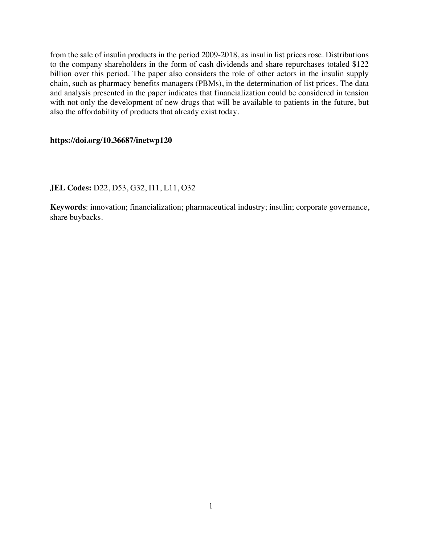from the sale of insulin products in the period 2009-2018, as insulin list prices rose. Distributions to the company shareholders in the form of cash dividends and share repurchases totaled \$122 billion over this period. The paper also considers the role of other actors in the insulin supply chain, such as pharmacy benefits managers (PBMs), in the determination of list prices. The data and analysis presented in the paper indicates that financialization could be considered in tension with not only the development of new drugs that will be available to patients in the future, but also the affordability of products that already exist today.

#### **https://doi.org/10.36687/inetwp120**

#### **JEL Codes:** D22, D53, G32, I11, L11, O32

**Keywords**: innovation; financialization; pharmaceutical industry; insulin; corporate governance, share buybacks.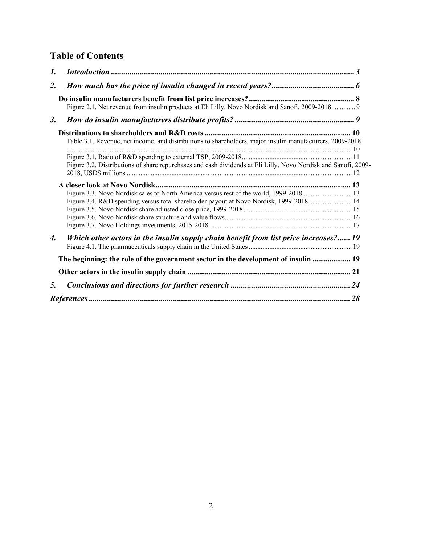## **Table of Contents**

| 1.               |                                                                                                                |  |
|------------------|----------------------------------------------------------------------------------------------------------------|--|
| $\overline{2}$ . |                                                                                                                |  |
|                  | Figure 2.1. Net revenue from insulin products at Eli Lilly, Novo Nordisk and Sanofi, 2009-2018 9               |  |
| <i>3</i> .       |                                                                                                                |  |
|                  | Table 3.1. Revenue, net income, and distributions to shareholders, major insulin manufacturers, 2009-2018      |  |
|                  | Figure 3.2. Distributions of share repurchases and cash dividends at Eli Lilly, Novo Nordisk and Sanofi, 2009- |  |
|                  |                                                                                                                |  |
|                  | Figure 3.3. Novo Nordisk sales to North America versus rest of the world, 1999-2018  13                        |  |
|                  | Figure 3.4. R&D spending versus total shareholder payout at Novo Nordisk, 1999-2018 14                         |  |
|                  |                                                                                                                |  |
|                  |                                                                                                                |  |
|                  |                                                                                                                |  |
| 4.               | Which other actors in the insulin supply chain benefit from list price increases? 19                           |  |
|                  |                                                                                                                |  |
|                  | The beginning: the role of the government sector in the development of insulin  19                             |  |
|                  |                                                                                                                |  |
| 5.               |                                                                                                                |  |
|                  |                                                                                                                |  |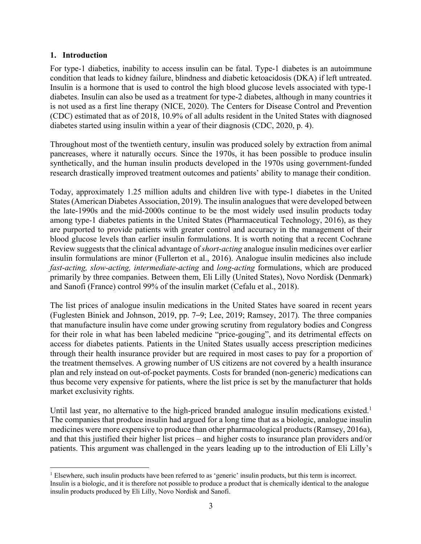### **1. Introduction**

For type-1 diabetics, inability to access insulin can be fatal. Type-1 diabetes is an autoimmune condition that leads to kidney failure, blindness and diabetic ketoacidosis (DKA) if left untreated. Insulin is a hormone that is used to control the high blood glucose levels associated with type-1 diabetes. Insulin can also be used as a treatment for type-2 diabetes, although in many countries it is not used as a first line therapy (NICE, 2020). The Centers for Disease Control and Prevention (CDC) estimated that as of 2018, 10.9% of all adults resident in the United States with diagnosed diabetes started using insulin within a year of their diagnosis (CDC, 2020, p. 4).

Throughout most of the twentieth century, insulin was produced solely by extraction from animal pancreases, where it naturally occurs. Since the 1970s, it has been possible to produce insulin synthetically, and the human insulin products developed in the 1970s using government-funded research drastically improved treatment outcomes and patients' ability to manage their condition.

Today, approximately 1.25 million adults and children live with type-1 diabetes in the United States (American Diabetes Association, 2019). The insulin analogues that were developed between the late-1990s and the mid-2000s continue to be the most widely used insulin products today among type-1 diabetes patients in the United States (Pharmaceutical Technology, 2016), as they are purported to provide patients with greater control and accuracy in the management of their blood glucose levels than earlier insulin formulations. It is worth noting that a recent Cochrane Review suggests that the clinical advantage of *short-acting* analogue insulin medicines over earlier insulin formulations are minor (Fullerton et al., 2016). Analogue insulin medicines also include *fast-acting, slow-acting, intermediate-acting* and *long-acting* formulations, which are produced primarily by three companies. Between them, Eli Lilly (United States), Novo Nordisk (Denmark) and Sanofi (France) control 99% of the insulin market (Cefalu et al., 2018).

The list prices of analogue insulin medications in the United States have soared in recent years (Fuglesten Biniek and Johnson, 2019, pp. 7–9; Lee, 2019; Ramsey, 2017). The three companies that manufacture insulin have come under growing scrutiny from regulatory bodies and Congress for their role in what has been labeled medicine "price-gouging", and its detrimental effects on access for diabetes patients. Patients in the United States usually access prescription medicines through their health insurance provider but are required in most cases to pay for a proportion of the treatment themselves. A growing number of US citizens are not covered by a health insurance plan and rely instead on out-of-pocket payments. Costs for branded (non-generic) medications can thus become very expensive for patients, where the list price is set by the manufacturer that holds market exclusivity rights.

Until last year, no alternative to the high-priced branded analogue insulin medications existed.<sup>1</sup> The companies that produce insulin had argued for a long time that as a biologic, analogue insulin medicines were more expensive to produce than other pharmacological products (Ramsey, 2016a), and that this justified their higher list prices – and higher costs to insurance plan providers and/or patients. This argument was challenged in the years leading up to the introduction of Eli Lilly's

<sup>&</sup>lt;sup>1</sup> Elsewhere, such insulin products have been referred to as 'generic' insulin products, but this term is incorrect. Insulin is a biologic, and it is therefore not possible to produce a product that is chemically identical to the analogue insulin products produced by Eli Lilly, Novo Nordisk and Sanofi.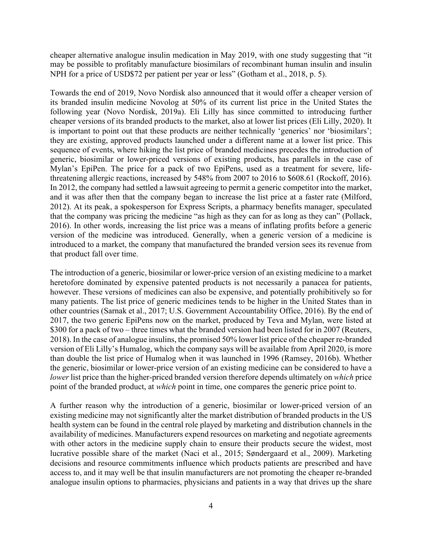cheaper alternative analogue insulin medication in May 2019, with one study suggesting that "it may be possible to profitably manufacture biosimilars of recombinant human insulin and insulin NPH for a price of USD\$72 per patient per year or less" (Gotham et al., 2018, p. 5).

Towards the end of 2019, Novo Nordisk also announced that it would offer a cheaper version of its branded insulin medicine Novolog at 50% of its current list price in the United States the following year (Novo Nordisk, 2019a). Eli Lilly has since committed to introducing further cheaper versions of its branded products to the market, also at lower list prices (Eli Lilly, 2020). It is important to point out that these products are neither technically 'generics' nor 'biosimilars'; they are existing, approved products launched under a different name at a lower list price. This sequence of events, where hiking the list price of branded medicines precedes the introduction of generic, biosimilar or lower-priced versions of existing products, has parallels in the case of Mylan's EpiPen. The price for a pack of two EpiPens, used as a treatment for severe, lifethreatening allergic reactions, increased by 548% from 2007 to 2016 to \$608.61 (Rockoff, 2016). In 2012, the company had settled a lawsuit agreeing to permit a generic competitor into the market, and it was after then that the company began to increase the list price at a faster rate (Milford, 2012). At its peak, a spokesperson for Express Scripts, a pharmacy benefits manager, speculated that the company was pricing the medicine "as high as they can for as long as they can" (Pollack, 2016). In other words, increasing the list price was a means of inflating profits before a generic version of the medicine was introduced. Generally, when a generic version of a medicine is introduced to a market, the company that manufactured the branded version sees its revenue from that product fall over time.

The introduction of a generic, biosimilar or lower-price version of an existing medicine to a market heretofore dominated by expensive patented products is not necessarily a panacea for patients, however. These versions of medicines can also be expensive, and potentially prohibitively so for many patients. The list price of generic medicines tends to be higher in the United States than in other countries (Sarnak et al., 2017; U.S. Government Accountability Office, 2016). By the end of 2017, the two generic EpiPens now on the market, produced by Teva and Mylan, were listed at \$300 for a pack of two – three times what the branded version had been listed for in 2007 (Reuters, 2018). In the case of analogue insulins, the promised 50% lower list price of the cheaper re-branded version of Eli Lilly's Humalog, which the company says will be available from April 2020, is more than double the list price of Humalog when it was launched in 1996 (Ramsey, 2016b). Whether the generic, biosimilar or lower-price version of an existing medicine can be considered to have a *lower* list price than the higher-priced branded version therefore depends ultimately on *which* price point of the branded product, at *which* point in time, one compares the generic price point to.

A further reason why the introduction of a generic, biosimilar or lower-priced version of an existing medicine may not significantly alter the market distribution of branded products in the US health system can be found in the central role played by marketing and distribution channels in the availability of medicines. Manufacturers expend resources on marketing and negotiate agreements with other actors in the medicine supply chain to ensure their products secure the widest, most lucrative possible share of the market (Naci et al., 2015; Søndergaard et al., 2009). Marketing decisions and resource commitments influence which products patients are prescribed and have access to, and it may well be that insulin manufacturers are not promoting the cheaper re-branded analogue insulin options to pharmacies, physicians and patients in a way that drives up the share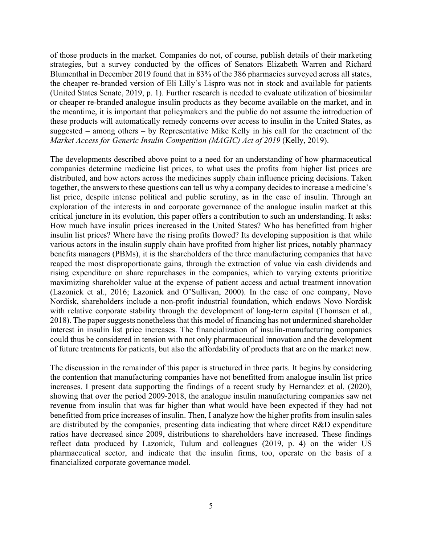of those products in the market. Companies do not, of course, publish details of their marketing strategies, but a survey conducted by the offices of Senators Elizabeth Warren and Richard Blumenthal in December 2019 found that in 83% of the 386 pharmacies surveyed across all states, the cheaper re-branded version of Eli Lilly's Lispro was not in stock and available for patients (United States Senate, 2019, p. 1). Further research is needed to evaluate utilization of biosimilar or cheaper re-branded analogue insulin products as they become available on the market, and in the meantime, it is important that policymakers and the public do not assume the introduction of these products will automatically remedy concerns over access to insulin in the United States, as suggested – among others – by Representative Mike Kelly in his call for the enactment of the *Market Access for Generic Insulin Competition (MAGIC) Act of 2019 (Kelly, 2019).* 

The developments described above point to a need for an understanding of how pharmaceutical companies determine medicine list prices, to what uses the profits from higher list prices are distributed, and how actors across the medicines supply chain influence pricing decisions. Taken together, the answers to these questions can tell us why a company decides to increase a medicine's list price, despite intense political and public scrutiny, as in the case of insulin. Through an exploration of the interests in and corporate governance of the analogue insulin market at this critical juncture in its evolution, this paper offers a contribution to such an understanding. It asks: How much have insulin prices increased in the United States? Who has benefitted from higher insulin list prices? Where have the rising profits flowed? Its developing supposition is that while various actors in the insulin supply chain have profited from higher list prices, notably pharmacy benefits managers (PBMs), it is the shareholders of the three manufacturing companies that have reaped the most disproportionate gains, through the extraction of value via cash dividends and rising expenditure on share repurchases in the companies, which to varying extents prioritize maximizing shareholder value at the expense of patient access and actual treatment innovation (Lazonick et al., 2016; Lazonick and O'Sullivan, 2000). In the case of one company, Novo Nordisk, shareholders include a non-profit industrial foundation, which endows Novo Nordisk with relative corporate stability through the development of long-term capital (Thomsen et al., 2018). The paper suggests nonetheless that this model of financing has not undermined shareholder interest in insulin list price increases. The financialization of insulin-manufacturing companies could thus be considered in tension with not only pharmaceutical innovation and the development of future treatments for patients, but also the affordability of products that are on the market now.

The discussion in the remainder of this paper is structured in three parts. It begins by considering the contention that manufacturing companies have not benefitted from analogue insulin list price increases. I present data supporting the findings of a recent study by Hernandez et al. (2020), showing that over the period 2009-2018, the analogue insulin manufacturing companies saw net revenue from insulin that was far higher than what would have been expected if they had not benefitted from price increases of insulin. Then, I analyze how the higher profits from insulin sales are distributed by the companies, presenting data indicating that where direct R&D expenditure ratios have decreased since 2009, distributions to shareholders have increased. These findings reflect data produced by Lazonick, Tulum and colleagues (2019, p. 4) on the wider US pharmaceutical sector, and indicate that the insulin firms, too, operate on the basis of a financialized corporate governance model.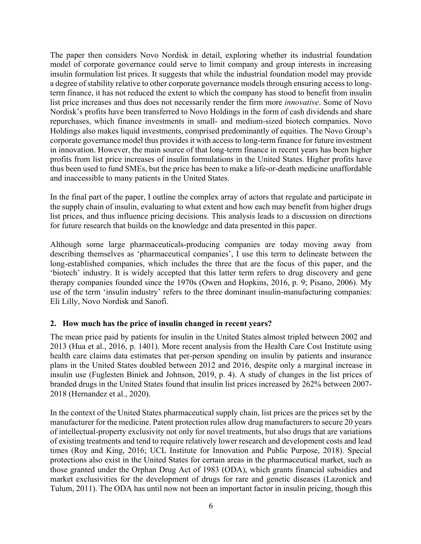The paper then considers Novo Nordisk in detail, exploring whether its industrial foundation model of corporate governance could serve to limit company and group interests in increasing insulin formulation list prices. It suggests that while the industrial foundation model may provide a degree of stability relative to other corporate governance models through ensuring access to longterm finance, it has not reduced the extent to which the company has stood to benefit from insulin list price increases and thus does not necessarily render the firm more *innovative*. Some of Novo Nordisk's profits have been transferred to Novo Holdings in the form of cash dividends and share repurchases, which finance investments in small- and medium-sized biotech companies. Novo Holdings also makes liquid investments, comprised predominantly of equities. The Novo Group's corporate governance model thus provides it with access to long-term finance for future investment in innovation. However, the main source of that long-term finance in recent years has been higher profits from list price increases of insulin formulations in the United States. Higher profits have thus been used to fund SMEs, but the price has been to make a life-or-death medicine unaffordable and inaccessible to many patients in the United States.

In the final part of the paper, I outline the complex array of actors that regulate and participate in the supply chain of insulin, evaluating to what extent and how each may benefit from higher drugs list prices, and thus influence pricing decisions. This analysis leads to a discussion on directions for future research that builds on the knowledge and data presented in this paper.

Although some large pharmaceuticals-producing companies are today moving away from describing themselves as 'pharmaceutical companies', I use this term to delineate between the long-established companies, which includes the three that are the focus of this paper, and the 'biotech' industry. It is widely accepted that this latter term refers to drug discovery and gene therapy companies founded since the 1970s (Owen and Hopkins, 2016, p. 9; Pisano, 2006). My use of the term 'insulin industry' refers to the three dominant insulin-manufacturing companies: Eli Lilly, Novo Nordisk and Sanofi.

## **2. How much has the price of insulin changed in recent years?**

The mean price paid by patients for insulin in the United States almost tripled between 2002 and 2013 (Hua et al., 2016, p. 1401). More recent analysis from the Health Care Cost Institute using health care claims data estimates that per-person spending on insulin by patients and insurance plans in the United States doubled between 2012 and 2016, despite only a marginal increase in insulin use (Fuglesten Biniek and Johnson, 2019, p. 4). A study of changes in the list prices of branded drugs in the United States found that insulin list prices increased by 262% between 2007- 2018 (Hernandez et al., 2020).

In the context of the United States pharmaceutical supply chain, list prices are the prices set by the manufacturer for the medicine. Patent protection rules allow drug manufacturers to secure 20 years of intellectual-property exclusivity not only for novel treatments, but also drugs that are variations of existing treatments and tend to require relatively lower research and development costs and lead times (Roy and King, 2016; UCL Institute for Innovation and Public Purpose, 2018). Special protections also exist in the United States for certain areas in the pharmaceutical market, such as those granted under the Orphan Drug Act of 1983 (ODA), which grants financial subsidies and market exclusivities for the development of drugs for rare and genetic diseases (Lazonick and Tulum, 2011). The ODA has until now not been an important factor in insulin pricing, though this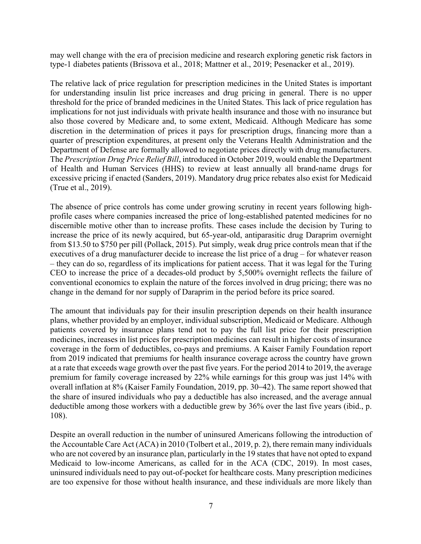may well change with the era of precision medicine and research exploring genetic risk factors in type-1 diabetes patients (Brissova et al., 2018; Mattner et al., 2019; Pesenacker et al., 2019).

The relative lack of price regulation for prescription medicines in the United States is important for understanding insulin list price increases and drug pricing in general. There is no upper threshold for the price of branded medicines in the United States. This lack of price regulation has implications for not just individuals with private health insurance and those with no insurance but also those covered by Medicare and, to some extent, Medicaid. Although Medicare has some discretion in the determination of prices it pays for prescription drugs, financing more than a quarter of prescription expenditures, at present only the Veterans Health Administration and the Department of Defense are formally allowed to negotiate prices directly with drug manufacturers. The *Prescription Drug Price Relief Bill*, introduced in October 2019, would enable the Department of Health and Human Services (HHS) to review at least annually all brand-name drugs for excessive pricing if enacted (Sanders, 2019). Mandatory drug price rebates also exist for Medicaid (True et al., 2019).

The absence of price controls has come under growing scrutiny in recent years following highprofile cases where companies increased the price of long-established patented medicines for no discernible motive other than to increase profits. These cases include the decision by Turing to increase the price of its newly acquired, but 65-year-old, antiparasitic drug Daraprim overnight from \$13.50 to \$750 per pill (Pollack, 2015). Put simply, weak drug price controls mean that if the executives of a drug manufacturer decide to increase the list price of a drug – for whatever reason – they can do so, regardless of its implications for patient access. That it was legal for the Turing CEO to increase the price of a decades-old product by 5,500% overnight reflects the failure of conventional economics to explain the nature of the forces involved in drug pricing; there was no change in the demand for nor supply of Daraprim in the period before its price soared.

The amount that individuals pay for their insulin prescription depends on their health insurance plans, whether provided by an employer, individual subscription, Medicaid or Medicare. Although patients covered by insurance plans tend not to pay the full list price for their prescription medicines, increases in list prices for prescription medicines can result in higher costs of insurance coverage in the form of deductibles, co-pays and premiums. A Kaiser Family Foundation report from 2019 indicated that premiums for health insurance coverage across the country have grown at a rate that exceeds wage growth over the past five years. For the period 2014 to 2019, the average premium for family coverage increased by 22% while earnings for this group was just 14% with overall inflation at 8% (Kaiser Family Foundation, 2019, pp. 30–42). The same report showed that the share of insured individuals who pay a deductible has also increased, and the average annual deductible among those workers with a deductible grew by 36% over the last five years (ibid., p. 108).

Despite an overall reduction in the number of uninsured Americans following the introduction of the Accountable Care Act (ACA) in 2010 (Tolbert et al., 2019, p. 2), there remain many individuals who are not covered by an insurance plan, particularly in the 19 states that have not opted to expand Medicaid to low-income Americans, as called for in the ACA (CDC, 2019). In most cases, uninsured individuals need to pay out-of-pocket for healthcare costs. Many prescription medicines are too expensive for those without health insurance, and these individuals are more likely than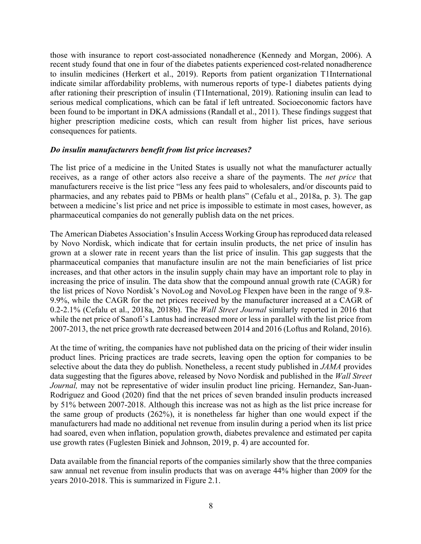those with insurance to report cost-associated nonadherence (Kennedy and Morgan, 2006). A recent study found that one in four of the diabetes patients experienced cost-related nonadherence to insulin medicines (Herkert et al., 2019). Reports from patient organization T1International indicate similar affordability problems, with numerous reports of type-1 diabetes patients dying after rationing their prescription of insulin (T1International, 2019). Rationing insulin can lead to serious medical complications, which can be fatal if left untreated. Socioeconomic factors have been found to be important in DKA admissions (Randall et al., 2011). These findings suggest that higher prescription medicine costs, which can result from higher list prices, have serious consequences for patients.

#### *Do insulin manufacturers benefit from list price increases?*

The list price of a medicine in the United States is usually not what the manufacturer actually receives, as a range of other actors also receive a share of the payments. The *net price* that manufacturers receive is the list price "less any fees paid to wholesalers, and/or discounts paid to pharmacies, and any rebates paid to PBMs or health plans" (Cefalu et al., 2018a, p. 3). The gap between a medicine's list price and net price is impossible to estimate in most cases, however, as pharmaceutical companies do not generally publish data on the net prices.

The American Diabetes Association's Insulin Access Working Group hasreproduced data released by Novo Nordisk, which indicate that for certain insulin products, the net price of insulin has grown at a slower rate in recent years than the list price of insulin. This gap suggests that the pharmaceutical companies that manufacture insulin are not the main beneficiaries of list price increases, and that other actors in the insulin supply chain may have an important role to play in increasing the price of insulin. The data show that the compound annual growth rate (CAGR) for the list prices of Novo Nordisk's NovoLog and NovoLog Flexpen have been in the range of 9.8- 9.9%, while the CAGR for the net prices received by the manufacturer increased at a CAGR of 0.2-2.1% (Cefalu et al., 2018a, 2018b). The *Wall Street Journal* similarly reported in 2016 that while the net price of Sanofi's Lantus had increased more or less in parallel with the list price from 2007-2013, the net price growth rate decreased between 2014 and 2016 (Loftus and Roland, 2016).

At the time of writing, the companies have not published data on the pricing of their wider insulin product lines. Pricing practices are trade secrets, leaving open the option for companies to be selective about the data they do publish. Nonetheless, a recent study published in *JAMA* provides data suggesting that the figures above, released by Novo Nordisk and published in the *Wall Street Journal,* may not be representative of wider insulin product line pricing. Hernandez, San-Juan-Rodriguez and Good (2020) find that the net prices of seven branded insulin products increased by 51% between 2007-2018. Although this increase was not as high as the list price increase for the same group of products (262%), it is nonetheless far higher than one would expect if the manufacturers had made no additional net revenue from insulin during a period when its list price had soared, even when inflation, population growth, diabetes prevalence and estimated per capita use growth rates (Fuglesten Biniek and Johnson, 2019, p. 4) are accounted for.

Data available from the financial reports of the companies similarly show that the three companies saw annual net revenue from insulin products that was on average 44% higher than 2009 for the years 2010-2018. This is summarized in Figure 2.1.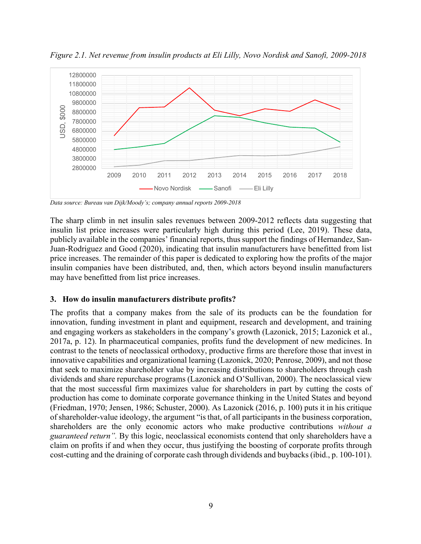

*Figure 2.1. Net revenue from insulin products at Eli Lilly, Novo Nordisk and Sanofi, 2009-2018*

*Data source: Bureau van Dijk/Moody's; company annual reports 2009-2018*

The sharp climb in net insulin sales revenues between 2009-2012 reflects data suggesting that insulin list price increases were particularly high during this period (Lee, 2019). These data, publicly available in the companies' financial reports, thus support the findings of Hernandez, San-Juan-Rodriguez and Good (2020), indicating that insulin manufacturers have benefitted from list price increases. The remainder of this paper is dedicated to exploring how the profits of the major insulin companies have been distributed, and, then, which actors beyond insulin manufacturers may have benefitted from list price increases.

#### **3. How do insulin manufacturers distribute profits?**

The profits that a company makes from the sale of its products can be the foundation for innovation, funding investment in plant and equipment, research and development, and training and engaging workers as stakeholders in the company's growth (Lazonick, 2015; Lazonick et al., 2017a, p. 12). In pharmaceutical companies, profits fund the development of new medicines. In contrast to the tenets of neoclassical orthodoxy, productive firms are therefore those that invest in innovative capabilities and organizational learning (Lazonick, 2020; Penrose, 2009), and not those that seek to maximize shareholder value by increasing distributions to shareholders through cash dividends and share repurchase programs (Lazonick and O'Sullivan, 2000). The neoclassical view that the most successful firm maximizes value for shareholders in part by cutting the costs of production has come to dominate corporate governance thinking in the United States and beyond (Friedman, 1970; Jensen, 1986; Schuster, 2000). As Lazonick (2016, p. 100) puts it in his critique of shareholder-value ideology, the argument "is that, of all participants in the business corporation, shareholders are the only economic actors who make productive contributions *without a guaranteed return".* By this logic, neoclassical economists contend that only shareholders have a claim on profits if and when they occur, thus justifying the boosting of corporate profits through cost-cutting and the draining of corporate cash through dividends and buybacks (ibid., p. 100-101).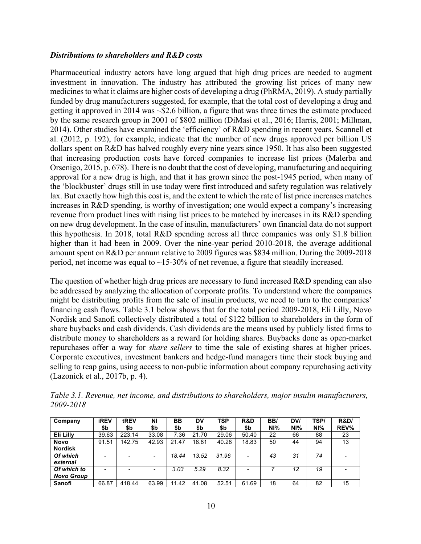#### *Distributions to shareholders and R&D costs*

Pharmaceutical industry actors have long argued that high drug prices are needed to augment investment in innovation. The industry has attributed the growing list prices of many new medicines to what it claims are higher costs of developing a drug (PhRMA, 2019). A study partially funded by drug manufacturers suggested, for example, that the total cost of developing a drug and getting it approved in 2014 was ~\$2.6 billion, a figure that was three times the estimate produced by the same research group in 2001 of \$802 million (DiMasi et al., 2016; Harris, 2001; Millman, 2014). Other studies have examined the 'efficiency' of R&D spending in recent years. Scannell et al. (2012, p. 192), for example, indicate that the number of new drugs approved per billion US dollars spent on R&D has halved roughly every nine years since 1950. It has also been suggested that increasing production costs have forced companies to increase list prices (Malerba and Orsenigo, 2015, p. 678). There is no doubt that the cost of developing, manufacturing and acquiring approval for a new drug is high, and that it has grown since the post-1945 period, when many of the 'blockbuster' drugs still in use today were first introduced and safety regulation was relatively lax. But exactly how high this cost is, and the extent to which the rate of list price increases matches increases in R&D spending, is worthy of investigation; one would expect a company's increasing revenue from product lines with rising list prices to be matched by increases in its R&D spending on new drug development. In the case of insulin, manufacturers' own financial data do not support this hypothesis. In 2018, total R&D spending across all three companies was only \$1.8 billion higher than it had been in 2009. Over the nine-year period 2010-2018, the average additional amount spent on R&D per annum relative to 2009 figures was \$834 million. During the 2009-2018 period, net income was equal to  $\sim$ 15-30% of net revenue, a figure that steadily increased.

The question of whether high drug prices are necessary to fund increased R&D spending can also be addressed by analyzing the allocation of corporate profits. To understand where the companies might be distributing profits from the sale of insulin products, we need to turn to the companies' financing cash flows. Table 3.1 below shows that for the total period 2009-2018, Eli Lilly, Novo Nordisk and Sanofi collectively distributed a total of \$122 billion to shareholders in the form of share buybacks and cash dividends. Cash dividends are the means used by publicly listed firms to distribute money to shareholders as a reward for holding shares. Buybacks done as open-market repurchases offer a way for *share sellers* to time the sale of existing shares at higher prices. Corporate executives, investment bankers and hedge-fund managers time their stock buying and selling to reap gains, using access to non-public information about company repurchasing activity (Lazonick et al., 2017b, p. 4).

| Company           | <b>iREV</b><br>\$b | tREV<br>\$b | ΝI<br>\$b | BB<br>\$b | DV<br>\$b | <b>TSP</b><br>\$b | R&D<br>\$b | BB/<br>NI% | DV/<br>NI% | TSP/<br>NI% | <b>R&amp;D/</b><br>REV% |
|-------------------|--------------------|-------------|-----------|-----------|-----------|-------------------|------------|------------|------------|-------------|-------------------------|
| Eli Lilly         | 39.63              | 223.14      | 33.08     | 7.36      | 21.70     | 29.06             | 50.40      | 22         | 66         | 88          | 23                      |
| Novo              | 91.51              | 142.75      | 42.93     | 21.47     | 18.81     | 40.28             | 18.83      | 50         | 44         | 94          | 13                      |
| <b>Nordisk</b>    |                    |             |           |           |           |                   |            |            |            |             |                         |
| Of which          |                    |             |           | 18.44     | 13.52     | 31.96             |            | 43         | 31         | 74          |                         |
| external          |                    |             |           |           |           |                   |            |            |            |             |                         |
| Of which to       |                    |             |           | 3.03      | 5.29      | 8.32              |            |            | 12         | 19          |                         |
| <b>Novo Group</b> |                    |             |           |           |           |                   |            |            |            |             |                         |
| Sanofi            | 66.87              | 418.44      | 63.99     | 11.42     | 41.08     | 52.51             | 61.69      | 18         | 64         | 82          | 15                      |

*Table 3.1. Revenue, net income, and distributions to shareholders, major insulin manufacturers, 2009-2018*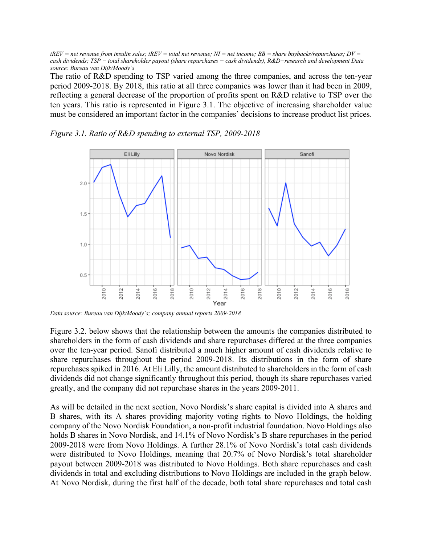$iREV$  = net revenue from insulin sales;  $tREV$  = total net revenue;  $NI$  = net income;  $BB$  = share buybacks/repurchases;  $DV$  = *cash dividends; TSP = total shareholder payout (share repurchases + cash dividends), R&D=research and development Data source: Bureau van Dijk/Moody's*

The ratio of R&D spending to TSP varied among the three companies, and across the ten-year period 2009-2018. By 2018, this ratio at all three companies was lower than it had been in 2009, reflecting a general decrease of the proportion of profits spent on R&D relative to TSP over the ten years. This ratio is represented in Figure 3.1. The objective of increasing shareholder value must be considered an important factor in the companies' decisions to increase product list prices.



*Figure 3.1. Ratio of R&D spending to external TSP, 2009-2018*

*Data source: Bureau van Dijk/Moody's; company annual reports 2009-2018*

Figure 3.2. below shows that the relationship between the amounts the companies distributed to shareholders in the form of cash dividends and share repurchases differed at the three companies over the ten-year period. Sanofi distributed a much higher amount of cash dividends relative to share repurchases throughout the period 2009-2018. Its distributions in the form of share repurchases spiked in 2016. At Eli Lilly, the amount distributed to shareholders in the form of cash dividends did not change significantly throughout this period, though its share repurchases varied greatly, and the company did not repurchase shares in the years 2009-2011.

As will be detailed in the next section, Novo Nordisk's share capital is divided into A shares and B shares, with its A shares providing majority voting rights to Novo Holdings, the holding company of the Novo Nordisk Foundation, a non-profit industrial foundation. Novo Holdings also holds B shares in Novo Nordisk, and 14.1% of Novo Nordisk's B share repurchases in the period 2009-2018 were from Novo Holdings. A further 28.1% of Novo Nordisk's total cash dividends were distributed to Novo Holdings, meaning that 20.7% of Novo Nordisk's total shareholder payout between 2009-2018 was distributed to Novo Holdings. Both share repurchases and cash dividends in total and excluding distributions to Novo Holdings are included in the graph below. At Novo Nordisk, during the first half of the decade, both total share repurchases and total cash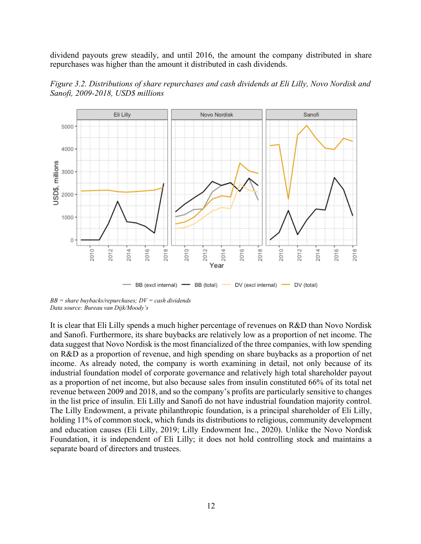dividend payouts grew steadily, and until 2016, the amount the company distributed in share repurchases was higher than the amount it distributed in cash dividends.





*BB = share buybacks/repurchases; DV = cash dividends Data source: Bureau van Dijk/Moody's*

It is clear that Eli Lilly spends a much higher percentage of revenues on R&D than Novo Nordisk and Sanofi. Furthermore, its share buybacks are relatively low as a proportion of net income. The data suggest that Novo Nordisk is the most financialized of the three companies, with low spending on R&D as a proportion of revenue, and high spending on share buybacks as a proportion of net income. As already noted, the company is worth examining in detail, not only because of its industrial foundation model of corporate governance and relatively high total shareholder payout as a proportion of net income, but also because sales from insulin constituted 66% of its total net revenue between 2009 and 2018, and so the company's profits are particularly sensitive to changes in the list price of insulin. Eli Lilly and Sanofi do not have industrial foundation majority control. The Lilly Endowment, a private philanthropic foundation, is a principal shareholder of Eli Lilly, holding 11% of common stock, which funds its distributions to religious, community development and education causes (Eli Lilly, 2019; Lilly Endowment Inc., 2020). Unlike the Novo Nordisk Foundation, it is independent of Eli Lilly; it does not hold controlling stock and maintains a separate board of directors and trustees.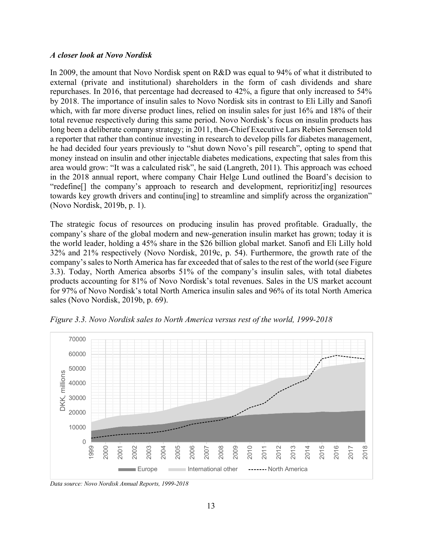#### *A closer look at Novo Nordisk*

In 2009, the amount that Novo Nordisk spent on R&D was equal to 94% of what it distributed to external (private and institutional) shareholders in the form of cash dividends and share repurchases. In 2016, that percentage had decreased to 42%, a figure that only increased to 54% by 2018. The importance of insulin sales to Novo Nordisk sits in contrast to Eli Lilly and Sanofi which, with far more diverse product lines, relied on insulin sales for just 16% and 18% of their total revenue respectively during this same period. Novo Nordisk's focus on insulin products has long been a deliberate company strategy; in 2011, then-Chief Executive Lars Rebien Sørensen told a reporter that rather than continue investing in research to develop pills for diabetes management, he had decided four years previously to "shut down Novo's pill research", opting to spend that money instead on insulin and other injectable diabetes medications, expecting that sales from this area would grow: "It was a calculated risk", he said (Langreth, 2011). This approach was echoed in the 2018 annual report, where company Chair Helge Lund outlined the Board's decision to "redefine[] the company's approach to research and development, reprioritiz[ing] resources towards key growth drivers and continusing to streamline and simplify across the organization" (Novo Nordisk, 2019b, p. 1).

The strategic focus of resources on producing insulin has proved profitable. Gradually, the company's share of the global modern and new-generation insulin market has grown; today it is the world leader, holding a 45% share in the \$26 billion global market. Sanofi and Eli Lilly hold 32% and 21% respectively (Novo Nordisk, 2019c, p. 54). Furthermore, the growth rate of the company's sales to North America has far exceeded that of sales to the rest of the world (see Figure 3.3). Today, North America absorbs 51% of the company's insulin sales, with total diabetes products accounting for 81% of Novo Nordisk's total revenues. Sales in the US market account for 97% of Novo Nordisk's total North America insulin sales and 96% of its total North America sales (Novo Nordisk, 2019b, p. 69).



*Figure 3.3. Novo Nordisk sales to North America versus rest of the world, 1999-2018*

*Data source: Novo Nordisk Annual Reports, 1999-2018*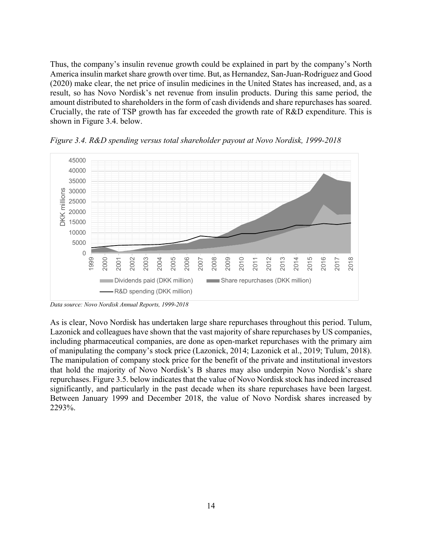Thus, the company's insulin revenue growth could be explained in part by the company's North America insulin market share growth over time. But, as Hernandez, San-Juan-Rodriguez and Good (2020) make clear, the net price of insulin medicines in the United States has increased, and, as a result, so has Novo Nordisk's net revenue from insulin products. During this same period, the amount distributed to shareholders in the form of cash dividends and share repurchases has soared. Crucially, the rate of TSP growth has far exceeded the growth rate of R&D expenditure. This is shown in Figure 3.4. below.



*Figure 3.4. R&D spending versus total shareholder payout at Novo Nordisk, 1999-2018* 

As is clear, Novo Nordisk has undertaken large share repurchases throughout this period. Tulum, Lazonick and colleagues have shown that the vast majority of share repurchases by US companies, including pharmaceutical companies, are done as open-market repurchases with the primary aim of manipulating the company's stock price (Lazonick, 2014; Lazonick et al., 2019; Tulum, 2018). The manipulation of company stock price for the benefit of the private and institutional investors that hold the majority of Novo Nordisk's B shares may also underpin Novo Nordisk's share repurchases. Figure 3.5. below indicates that the value of Novo Nordisk stock has indeed increased significantly, and particularly in the past decade when its share repurchases have been largest. Between January 1999 and December 2018, the value of Novo Nordisk shares increased by 2293%.

*Data source: Novo Nordisk Annual Reports, 1999-2018*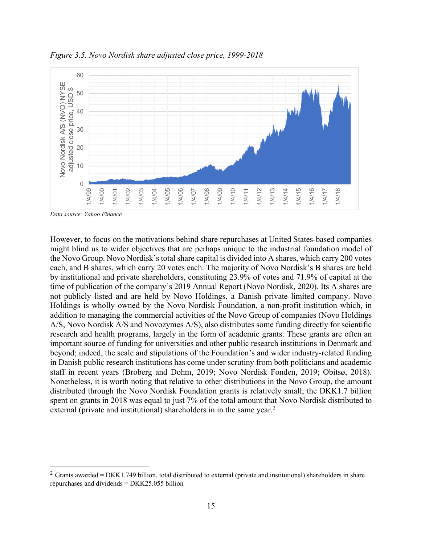

*Figure 3.5. Novo Nordisk share adjusted close price, 1999-2018*

*Data source: Yahoo Finance*

However, to focus on the motivations behind share repurchases at United States-based companies might blind us to wider objectives that are perhaps unique to the industrial foundation model of the Novo Group. Novo Nordisk's total share capital is divided into A shares, which carry 200 votes each, and B shares, which carry 20 votes each. The majority of Novo Nordisk's B shares are held by institutional and private shareholders, constituting 23.9% of votes and 71.9% of capital at the time of publication of the company's 2019 Annual Report (Novo Nordisk, 2020). Its A shares are not publicly listed and are held by Novo Holdings, a Danish private limited company. Novo Holdings is wholly owned by the Novo Nordisk Foundation, a non-profit institution which, in addition to managing the commercial activities of the Novo Group of companies (Novo Holdings A/S, Novo Nordisk A/S and Novozymes A/S), also distributes some funding directly for scientific research and health programs, largely in the form of academic grants. These grants are often an important source of funding for universities and other public research institutions in Denmark and beyond; indeed, the scale and stipulations of the Foundation's and wider industry-related funding in Danish public research institutions has come under scrutiny from both politicians and academic staff in recent years (Broberg and Dohm, 2019; Novo Nordisk Fonden, 2019; Obitsø, 2018). Nonetheless, it is worth noting that relative to other distributions in the Novo Group, the amount distributed through the Novo Nordisk Foundation grants is relatively small; the DKK1.7 billion spent on grants in 2018 was equal to just 7% of the total amount that Novo Nordisk distributed to external (private and institutional) shareholders in in the same year.<sup>2</sup>

<sup>&</sup>lt;sup>2</sup> Grants awarded = DKK1.749 billion, total distributed to external (private and institutional) shareholders in share repurchases and dividends = DKK25.055 billion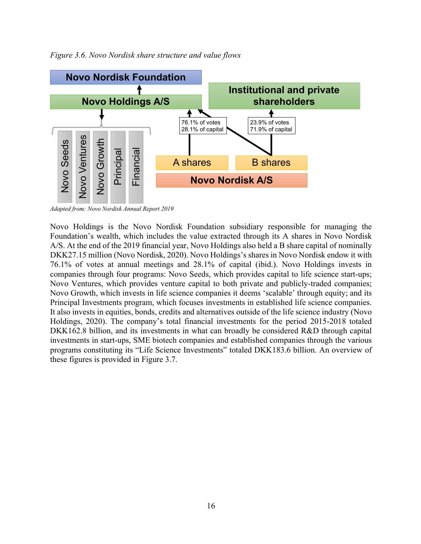

*Figure 3.6. Novo Nordisk share structure and value flows*

*Adapted from: Novo Nordisk Annual Report 2019*

Novo Holdings is the Novo Nordisk Foundation subsidiary responsible for managing the Foundation's wealth, which includes the value extracted through its A shares in Novo Nordisk A/S. At the end of the 2019 financial year, Novo Holdings also held a B share capital of nominally DKK27.15 million (Novo Nordisk, 2020). Novo Holdings's shares in Novo Nordisk endow it with 76.1% of votes at annual meetings and 28.1% of capital (ibid.). Novo Holdings invests in companies through four programs: Novo Seeds, which provides capital to life science start-ups; Novo Ventures, which provides venture capital to both private and publicly-traded companies; Novo Growth, which invests in life science companies it deems 'scalable' through equity; and its Principal Investments program, which focuses investments in established life science companies. It also invests in equities, bonds, credits and alternatives outside of the life science industry (Novo Holdings, 2020). The company's total financial investments for the period 2015-2018 totaled DKK162.8 billion, and its investments in what can broadly be considered R&D through capital investments in start-ups, SME biotech companies and established companies through the various programs constituting its "Life Science Investments" totaled DKK183.6 billion. An overview of these figures is provided in Figure 3.7.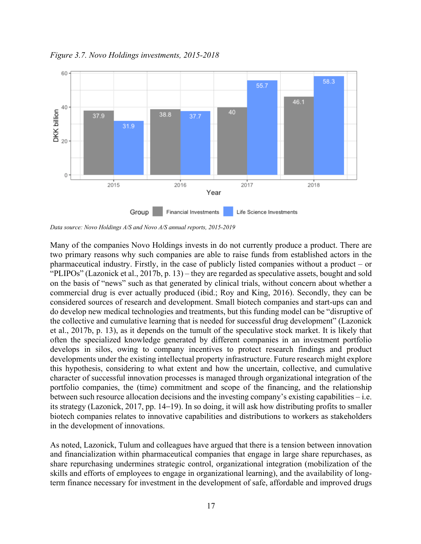

*Figure 3.7. Novo Holdings investments, 2015-2018*

*Data source: Novo Holdings A/S and Novo A/S annual reports, 2015-2019*

Many of the companies Novo Holdings invests in do not currently produce a product. There are two primary reasons why such companies are able to raise funds from established actors in the pharmaceutical industry. Firstly, in the case of publicly listed companies without a product – or "PLIPOs" (Lazonick et al., 2017b, p. 13) – they are regarded as speculative assets, bought and sold on the basis of "news" such as that generated by clinical trials, without concern about whether a commercial drug is ever actually produced (ibid.; Roy and King, 2016). Secondly, they can be considered sources of research and development. Small biotech companies and start-ups can and do develop new medical technologies and treatments, but this funding model can be "disruptive of the collective and cumulative learning that is needed for successful drug development" (Lazonick et al., 2017b, p. 13), as it depends on the tumult of the speculative stock market. It is likely that often the specialized knowledge generated by different companies in an investment portfolio develops in silos, owing to company incentives to protect research findings and product developments under the existing intellectual property infrastructure. Future research might explore this hypothesis, considering to what extent and how the uncertain, collective, and cumulative character of successful innovation processes is managed through organizational integration of the portfolio companies, the (time) commitment and scope of the financing, and the relationship between such resource allocation decisions and the investing company's existing capabilities – i.e. its strategy (Lazonick, 2017, pp. 14–19). In so doing, it will ask how distributing profits to smaller biotech companies relates to innovative capabilities and distributions to workers as stakeholders in the development of innovations.

As noted, Lazonick, Tulum and colleagues have argued that there is a tension between innovation and financialization within pharmaceutical companies that engage in large share repurchases, as share repurchasing undermines strategic control, organizational integration (mobilization of the skills and efforts of employees to engage in organizational learning), and the availability of longterm finance necessary for investment in the development of safe, affordable and improved drugs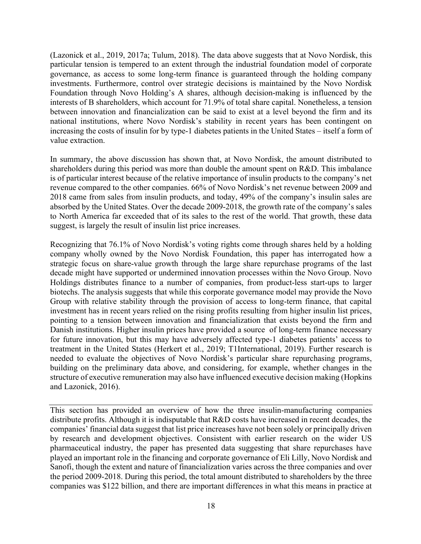(Lazonick et al., 2019, 2017a; Tulum, 2018). The data above suggests that at Novo Nordisk, this particular tension is tempered to an extent through the industrial foundation model of corporate governance, as access to some long-term finance is guaranteed through the holding company investments. Furthermore, control over strategic decisions is maintained by the Novo Nordisk Foundation through Novo Holding's A shares, although decision-making is influenced by the interests of B shareholders, which account for 71.9% of total share capital. Nonetheless, a tension between innovation and financialization can be said to exist at a level beyond the firm and its national institutions, where Novo Nordisk's stability in recent years has been contingent on increasing the costs of insulin for by type-1 diabetes patients in the United States – itself a form of value extraction.

In summary, the above discussion has shown that, at Novo Nordisk, the amount distributed to shareholders during this period was more than double the amount spent on R&D. This imbalance is of particular interest because of the relative importance of insulin products to the company's net revenue compared to the other companies. 66% of Novo Nordisk's net revenue between 2009 and 2018 came from sales from insulin products, and today, 49% of the company's insulin sales are absorbed by the United States. Over the decade 2009-2018, the growth rate of the company's sales to North America far exceeded that of its sales to the rest of the world. That growth, these data suggest, is largely the result of insulin list price increases.

Recognizing that 76.1% of Novo Nordisk's voting rights come through shares held by a holding company wholly owned by the Novo Nordisk Foundation, this paper has interrogated how a strategic focus on share-value growth through the large share repurchase programs of the last decade might have supported or undermined innovation processes within the Novo Group. Novo Holdings distributes finance to a number of companies, from product-less start-ups to larger biotechs. The analysis suggests that while this corporate governance model may provide the Novo Group with relative stability through the provision of access to long-term finance, that capital investment has in recent years relied on the rising profits resulting from higher insulin list prices, pointing to a tension between innovation and financialization that exists beyond the firm and Danish institutions. Higher insulin prices have provided a source of long-term finance necessary for future innovation, but this may have adversely affected type-1 diabetes patients' access to treatment in the United States (Herkert et al., 2019; T1International, 2019). Further research is needed to evaluate the objectives of Novo Nordisk's particular share repurchasing programs, building on the preliminary data above, and considering, for example, whether changes in the structure of executive remuneration may also have influenced executive decision making (Hopkins and Lazonick, 2016).

This section has provided an overview of how the three insulin-manufacturing companies distribute profits. Although it is indisputable that R&D costs have increased in recent decades, the companies' financial data suggest that list price increases have not been solely or principally driven by research and development objectives. Consistent with earlier research on the wider US pharmaceutical industry, the paper has presented data suggesting that share repurchases have played an important role in the financing and corporate governance of Eli Lilly, Novo Nordisk and Sanofi, though the extent and nature of financialization varies across the three companies and over the period 2009-2018. During this period, the total amount distributed to shareholders by the three companies was \$122 billion, and there are important differences in what this means in practice at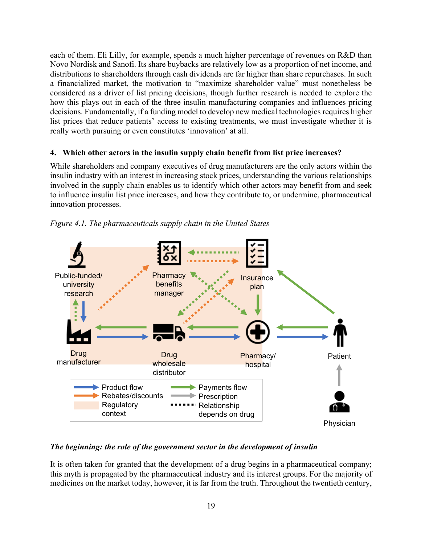each of them. Eli Lilly, for example, spends a much higher percentage of revenues on R&D than Novo Nordisk and Sanofi. Its share buybacks are relatively low as a proportion of net income, and distributions to shareholders through cash dividends are far higher than share repurchases. In such a financialized market, the motivation to "maximize shareholder value" must nonetheless be considered as a driver of list pricing decisions, though further research is needed to explore the how this plays out in each of the three insulin manufacturing companies and influences pricing decisions. Fundamentally, if a funding model to develop new medical technologies requires higher list prices that reduce patients' access to existing treatments, we must investigate whether it is really worth pursuing or even constitutes 'innovation' at all.

## **4. Which other actors in the insulin supply chain benefit from list price increases?**

While shareholders and company executives of drug manufacturers are the only actors within the insulin industry with an interest in increasing stock prices, understanding the various relationships involved in the supply chain enables us to identify which other actors may benefit from and seek to influence insulin list price increases, and how they contribute to, or undermine, pharmaceutical innovation processes.



*Figure 4.1. The pharmaceuticals supply chain in the United States*

## *The beginning: the role of the government sector in the development of insulin*

It is often taken for granted that the development of a drug begins in a pharmaceutical company; this myth is propagated by the pharmaceutical industry and its interest groups. For the majority of medicines on the market today, however, it is far from the truth. Throughout the twentieth century,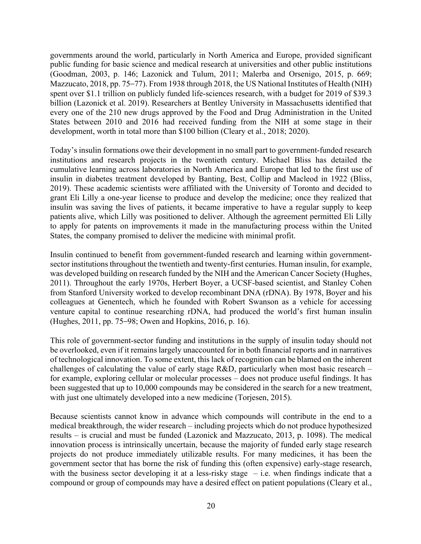governments around the world, particularly in North America and Europe, provided significant public funding for basic science and medical research at universities and other public institutions (Goodman, 2003, p. 146; Lazonick and Tulum, 2011; Malerba and Orsenigo, 2015, p. 669; Mazzucato, 2018, pp. 75–77). From 1938 through 2018, the US National Institutes of Health (NIH) spent over \$1.1 trillion on publicly funded life-sciences research, with a budget for 2019 of \$39.3 billion (Lazonick et al. 2019). Researchers at Bentley University in Massachusetts identified that every one of the 210 new drugs approved by the Food and Drug Administration in the United States between 2010 and 2016 had received funding from the NIH at some stage in their development, worth in total more than \$100 billion (Cleary et al., 2018; 2020).

Today's insulin formations owe their development in no small part to government-funded research institutions and research projects in the twentieth century. Michael Bliss has detailed the cumulative learning across laboratories in North America and Europe that led to the first use of insulin in diabetes treatment developed by Banting, Best, Collip and Macleod in 1922 (Bliss, 2019). These academic scientists were affiliated with the University of Toronto and decided to grant Eli Lilly a one-year license to produce and develop the medicine; once they realized that insulin was saving the lives of patients, it became imperative to have a regular supply to keep patients alive, which Lilly was positioned to deliver. Although the agreement permitted Eli Lilly to apply for patents on improvements it made in the manufacturing process within the United States, the company promised to deliver the medicine with minimal profit.

Insulin continued to benefit from government-funded research and learning within governmentsector institutions throughout the twentieth and twenty-first centuries. Human insulin, for example, was developed building on research funded by the NIH and the American Cancer Society (Hughes, 2011). Throughout the early 1970s, Herbert Boyer, a UCSF-based scientist, and Stanley Cohen from Stanford University worked to develop recombinant DNA (rDNA). By 1978, Boyer and his colleagues at Genentech, which he founded with Robert Swanson as a vehicle for accessing venture capital to continue researching rDNA, had produced the world's first human insulin (Hughes, 2011, pp. 75–98; Owen and Hopkins, 2016, p. 16).

This role of government-sector funding and institutions in the supply of insulin today should not be overlooked, even if it remains largely unaccounted for in both financial reports and in narratives of technological innovation. To some extent, this lack of recognition can be blamed on the inherent challenges of calculating the value of early stage R&D, particularly when most basic research – for example, exploring cellular or molecular processes – does not produce useful findings. It has been suggested that up to 10,000 compounds may be considered in the search for a new treatment, with just one ultimately developed into a new medicine (Torjesen, 2015).

Because scientists cannot know in advance which compounds will contribute in the end to a medical breakthrough, the wider research – including projects which do not produce hypothesized results – is crucial and must be funded (Lazonick and Mazzucato, 2013, p. 1098). The medical innovation process is intrinsically uncertain, because the majority of funded early stage research projects do not produce immediately utilizable results. For many medicines, it has been the government sector that has borne the risk of funding this (often expensive) early-stage research, with the business sector developing it at a less-risky stage  $-$  i.e. when findings indicate that a compound or group of compounds may have a desired effect on patient populations (Cleary et al.,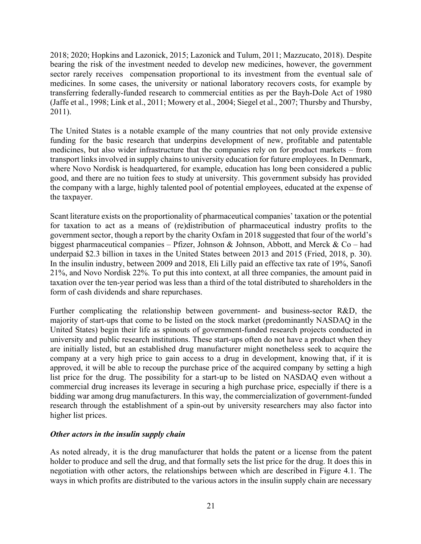2018; 2020; Hopkins and Lazonick, 2015; Lazonick and Tulum, 2011; Mazzucato, 2018). Despite bearing the risk of the investment needed to develop new medicines, however, the government sector rarely receives compensation proportional to its investment from the eventual sale of medicines. In some cases, the university or national laboratory recovers costs, for example by transferring federally-funded research to commercial entities as per the Bayh-Dole Act of 1980 (Jaffe et al., 1998; Link et al., 2011; Mowery et al., 2004; Siegel et al., 2007; Thursby and Thursby, 2011).

The United States is a notable example of the many countries that not only provide extensive funding for the basic research that underpins development of new, profitable and patentable medicines, but also wider infrastructure that the companies rely on for product markets – from transport links involved in supply chains to university education for future employees. In Denmark, where Novo Nordisk is headquartered, for example, education has long been considered a public good, and there are no tuition fees to study at university. This government subsidy has provided the company with a large, highly talented pool of potential employees, educated at the expense of the taxpayer.

Scant literature exists on the proportionality of pharmaceutical companies' taxation or the potential for taxation to act as a means of (re)distribution of pharmaceutical industry profits to the government sector, though a report by the charity Oxfam in 2018 suggested that four of the world's biggest pharmaceutical companies – Pfizer, Johnson & Johnson, Abbott, and Merck & Co – had underpaid \$2.3 billion in taxes in the United States between 2013 and 2015 (Fried, 2018, p. 30). In the insulin industry, between 2009 and 2018, Eli Lilly paid an effective tax rate of 19%, Sanofi 21%, and Novo Nordisk 22%. To put this into context, at all three companies, the amount paid in taxation over the ten-year period was less than a third of the total distributed to shareholders in the form of cash dividends and share repurchases.

Further complicating the relationship between government- and business-sector R&D, the majority of start-ups that come to be listed on the stock market (predominantly NASDAQ in the United States) begin their life as spinouts of government-funded research projects conducted in university and public research institutions. These start-ups often do not have a product when they are initially listed, but an established drug manufacturer might nonetheless seek to acquire the company at a very high price to gain access to a drug in development, knowing that, if it is approved, it will be able to recoup the purchase price of the acquired company by setting a high list price for the drug. The possibility for a start-up to be listed on NASDAQ even without a commercial drug increases its leverage in securing a high purchase price, especially if there is a bidding war among drug manufacturers. In this way, the commercialization of government-funded research through the establishment of a spin-out by university researchers may also factor into higher list prices.

#### *Other actors in the insulin supply chain*

As noted already, it is the drug manufacturer that holds the patent or a license from the patent holder to produce and sell the drug, and that formally sets the list price for the drug. It does this in negotiation with other actors, the relationships between which are described in Figure 4.1. The ways in which profits are distributed to the various actors in the insulin supply chain are necessary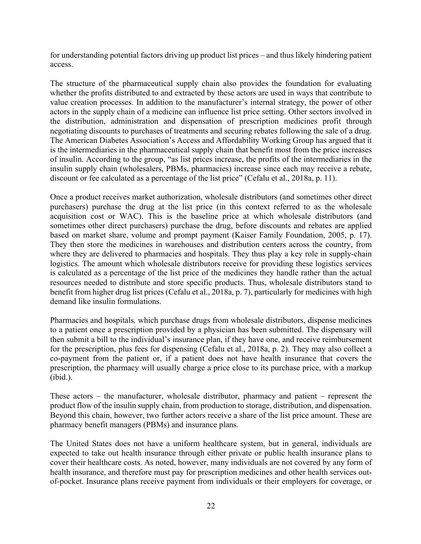for understanding potential factors driving up product list prices – and thus likely hindering patient access.

The structure of the pharmaceutical supply chain also provides the foundation for evaluating whether the profits distributed to and extracted by these actors are used in ways that contribute to value creation processes. In addition to the manufacturer's internal strategy, the power of other actors in the supply chain of a medicine can influence list price setting. Other sectors involved in the distribution, administration and dispensation of prescription medicines profit through negotiating discounts to purchases of treatments and securing rebates following the sale of a drug. The American Diabetes Association's Access and Affordability Working Group has argued that it is the intermediaries in the pharmaceutical supply chain that benefit most from the price increases of insulin. According to the group, "as list prices increase, the profits of the intermediaries in the insulin supply chain (wholesalers, PBMs, pharmacies) increase since each may receive a rebate, discount or fee calculated as a percentage of the list price" (Cefalu et al., 2018a, p. 11).

Once a product receives market authorization, wholesale distributors (and sometimes other direct purchasers) purchase the drug at the list price (in this context referred to as the wholesale acquisition cost or WAC). This is the baseline price at which wholesale distributors (and sometimes other direct purchasers) purchase the drug, before discounts and rebates are applied based on market share, volume and prompt payment (Kaiser Family Foundation, 2005, p. 17). They then store the medicines in warehouses and distribution centers across the country, from where they are delivered to pharmacies and hospitals. They thus play a key role in supply-chain logistics. The amount which wholesale distributors receive for providing these logistics services is calculated as a percentage of the list price of the medicines they handle rather than the actual resources needed to distribute and store specific products. Thus, wholesale distributors stand to benefit from higher drug list prices (Cefalu et al., 2018a, p. 7), particularly for medicines with high demand like insulin formulations.

Pharmacies and hospitals*,* which purchase drugs from wholesale distributors, dispense medicines to a patient once a prescription provided by a physician has been submitted. The dispensary will then submit a bill to the individual's insurance plan, if they have one, and receive reimbursement for the prescription, plus fees for dispensing (Cefalu et al., 2018a, p. 2). They may also collect a co-payment from the patient or, if a patient does not have health insurance that covers the prescription, the pharmacy will usually charge a price close to its purchase price, with a markup (ibid.).

These actors – the manufacturer, wholesale distributor, pharmacy and patient – represent the product flow of the insulin supply chain, from production to storage, distribution, and dispensation. Beyond this chain, however, two further actors receive a share of the list price amount. These are pharmacy benefit managers (PBMs) and insurance plans.

The United States does not have a uniform healthcare system, but in general, individuals are expected to take out health insurance through either private or public health insurance plans to cover their healthcare costs. As noted, however, many individuals are not covered by any form of health insurance, and therefore must pay for prescription medicines and other health services outof-pocket. Insurance plans receive payment from individuals or their employers for coverage, or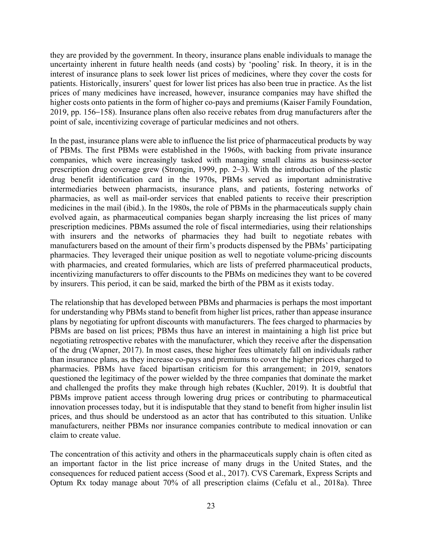they are provided by the government. In theory, insurance plans enable individuals to manage the uncertainty inherent in future health needs (and costs) by 'pooling' risk. In theory, it is in the interest of insurance plans to seek lower list prices of medicines, where they cover the costs for patients. Historically, insurers' quest for lower list prices has also been true in practice. As the list prices of many medicines have increased, however, insurance companies may have shifted the higher costs onto patients in the form of higher co-pays and premiums (Kaiser Family Foundation, 2019, pp. 156–158). Insurance plans often also receive rebates from drug manufacturers after the point of sale, incentivizing coverage of particular medicines and not others.

In the past, insurance plans were able to influence the list price of pharmaceutical products by way of PBMs. The first PBMs were established in the 1960s, with backing from private insurance companies, which were increasingly tasked with managing small claims as business-sector prescription drug coverage grew (Strongin, 1999, pp. 2–3). With the introduction of the plastic drug benefit identification card in the 1970s, PBMs served as important administrative intermediaries between pharmacists, insurance plans, and patients, fostering networks of pharmacies, as well as mail-order services that enabled patients to receive their prescription medicines in the mail (ibid.). In the 1980s, the role of PBMs in the pharmaceuticals supply chain evolved again, as pharmaceutical companies began sharply increasing the list prices of many prescription medicines. PBMs assumed the role of fiscal intermediaries, using their relationships with insurers and the networks of pharmacies they had built to negotiate rebates with manufacturers based on the amount of their firm's products dispensed by the PBMs' participating pharmacies. They leveraged their unique position as well to negotiate volume-pricing discounts with pharmacies, and created formularies, which are lists of preferred pharmaceutical products, incentivizing manufacturers to offer discounts to the PBMs on medicines they want to be covered by insurers. This period, it can be said, marked the birth of the PBM as it exists today.

The relationship that has developed between PBMs and pharmacies is perhaps the most important for understanding why PBMs stand to benefit from higher list prices, rather than appease insurance plans by negotiating for upfront discounts with manufacturers. The fees charged to pharmacies by PBMs are based on list prices; PBMs thus have an interest in maintaining a high list price but negotiating retrospective rebates with the manufacturer, which they receive after the dispensation of the drug (Wapner, 2017). In most cases, these higher fees ultimately fall on individuals rather than insurance plans, as they increase co-pays and premiums to cover the higher prices charged to pharmacies. PBMs have faced bipartisan criticism for this arrangement; in 2019, senators questioned the legitimacy of the power wielded by the three companies that dominate the market and challenged the profits they make through high rebates (Kuchler, 2019). It is doubtful that PBMs improve patient access through lowering drug prices or contributing to pharmaceutical innovation processes today, but it is indisputable that they stand to benefit from higher insulin list prices, and thus should be understood as an actor that has contributed to this situation. Unlike manufacturers, neither PBMs nor insurance companies contribute to medical innovation or can claim to create value.

The concentration of this activity and others in the pharmaceuticals supply chain is often cited as an important factor in the list price increase of many drugs in the United States, and the consequences for reduced patient access (Sood et al., 2017). CVS Caremark, Express Scripts and Optum Rx today manage about 70% of all prescription claims (Cefalu et al., 2018a). Three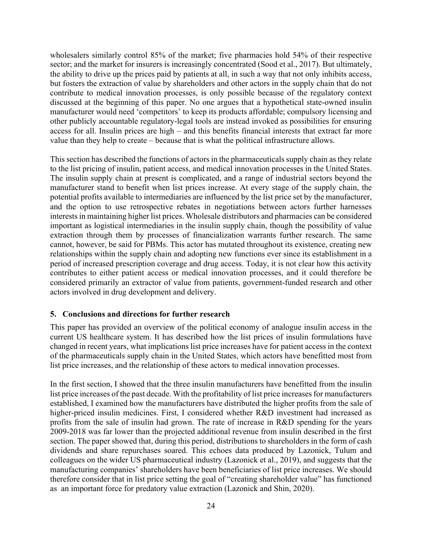wholesalers similarly control 85% of the market; five pharmacies hold 54% of their respective sector; and the market for insurers is increasingly concentrated (Sood et al., 2017). But ultimately, the ability to drive up the prices paid by patients at all, in such a way that not only inhibits access, but fosters the extraction of value by shareholders and other actors in the supply chain that do not contribute to medical innovation processes, is only possible because of the regulatory context discussed at the beginning of this paper. No one argues that a hypothetical state-owned insulin manufacturer would need 'competitors' to keep its products affordable; compulsory licensing and other publicly accountable regulatory-legal tools are instead invoked as possibilities for ensuring access for all. Insulin prices are high – and this benefits financial interests that extract far more value than they help to create – because that is what the political infrastructure allows.

This section has described the functions of actors in the pharmaceuticals supply chain as they relate to the list pricing of insulin, patient access, and medical innovation processes in the United States. The insulin supply chain at present is complicated, and a range of industrial sectors beyond the manufacturer stand to benefit when list prices increase. At every stage of the supply chain, the potential profits available to intermediaries are influenced by the list price set by the manufacturer, and the option to use retrospective rebates in negotiations between actors further harnesses interests in maintaining higher list prices. Wholesale distributors and pharmacies can be considered important as logistical intermediaries in the insulin supply chain, though the possibility of value extraction through them by processes of financialization warrants further research. The same cannot, however, be said for PBMs. This actor has mutated throughout its existence, creating new relationships within the supply chain and adopting new functions ever since its establishment in a period of increased prescription coverage and drug access. Today, it is not clear how this activity contributes to either patient access or medical innovation processes, and it could therefore be considered primarily an extractor of value from patients, government-funded research and other actors involved in drug development and delivery.

#### **5. Conclusions and directions for further research**

This paper has provided an overview of the political economy of analogue insulin access in the current US healthcare system. It has described how the list prices of insulin formulations have changed in recent years, what implications list price increases have for patient access in the context of the pharmaceuticals supply chain in the United States, which actors have benefitted most from list price increases, and the relationship of these actors to medical innovation processes.

In the first section, I showed that the three insulin manufacturers have benefitted from the insulin list price increases of the past decade. With the profitability of list price increases for manufacturers established, I examined how the manufacturers have distributed the higher profits from the sale of higher-priced insulin medicines. First, I considered whether R&D investment had increased as profits from the sale of insulin had grown. The rate of increase in R&D spending for the years 2009-2018 was far lower than the projected additional revenue from insulin described in the first section. The paper showed that, during this period, distributions to shareholders in the form of cash dividends and share repurchases soared. This echoes data produced by Lazonick, Tulum and colleagues on the wider US pharmaceutical industry (Lazonick et al., 2019), and suggests that the manufacturing companies' shareholders have been beneficiaries of list price increases. We should therefore consider that in list price setting the goal of "creating shareholder value" has functioned as an important force for predatory value extraction (Lazonick and Shin, 2020).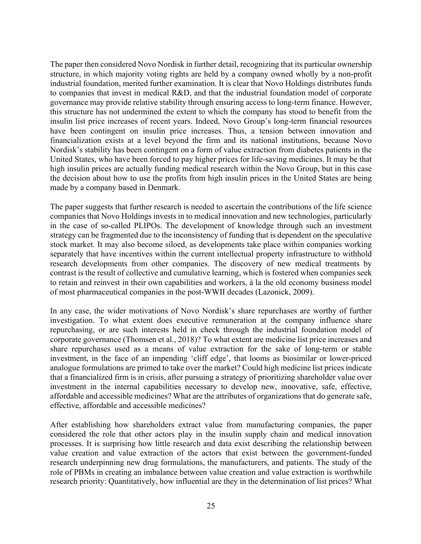The paper then considered Novo Nordisk in further detail, recognizing that its particular ownership structure, in which majority voting rights are held by a company owned wholly by a non-profit industrial foundation, merited further examination. It is clear that Novo Holdings distributes funds to companies that invest in medical R&D, and that the industrial foundation model of corporate governance may provide relative stability through ensuring access to long-term finance. However, this structure has not undermined the extent to which the company has stood to benefit from the insulin list price increases of recent years. Indeed, Novo Group's long-term financial resources have been contingent on insulin price increases. Thus, a tension between innovation and financialization exists at a level beyond the firm and its national institutions, because Novo Nordisk's stability has been contingent on a form of value extraction from diabetes patients in the United States, who have been forced to pay higher prices for life-saving medicines. It may be that high insulin prices are actually funding medical research within the Novo Group, but in this case the decision about how to use the profits from high insulin prices in the United States are being made by a company based in Denmark.

The paper suggests that further research is needed to ascertain the contributions of the life science companies that Novo Holdings invests in to medical innovation and new technologies, particularly in the case of so-called PLIPOs. The development of knowledge through such an investment strategy can be fragmented due to the inconsistency of funding that is dependent on the speculative stock market. It may also become siloed, as developments take place within companies working separately that have incentives within the current intellectual property infrastructure to withhold research developments from other companies. The discovery of new medical treatments by contrast is the result of collective and cumulative learning, which is fostered when companies seek to retain and reinvest in their own capabilities and workers, à la the old economy business model of most pharmaceutical companies in the post-WWII decades (Lazonick, 2009).

In any case, the wider motivations of Novo Nordisk's share repurchases are worthy of further investigation. To what extent does executive remuneration at the company influence share repurchasing, or are such interests held in check through the industrial foundation model of corporate governance (Thomsen et al., 2018)? To what extent are medicine list price increases and share repurchases used as a means of value extraction for the sake of long-term or stable investment, in the face of an impending 'cliff edge', that looms as biosimilar or lower-priced analogue formulations are primed to take over the market? Could high medicine list prices indicate that a financialized firm is in crisis, after pursuing a strategy of prioritizing shareholder value over investment in the internal capabilities necessary to develop new, innovative, safe, effective, affordable and accessible medicines? What are the attributes of organizations that do generate safe, effective, affordable and accessible medicines?

After establishing how shareholders extract value from manufacturing companies, the paper considered the role that other actors play in the insulin supply chain and medical innovation processes. It is surprising how little research and data exist describing the relationship between value creation and value extraction of the actors that exist between the government-funded research underpinning new drug formulations, the manufacturers, and patients. The study of the role of PBMs in creating an imbalance between value creation and value extraction is worthwhile research priority: Quantitatively, how influential are they in the determination of list prices? What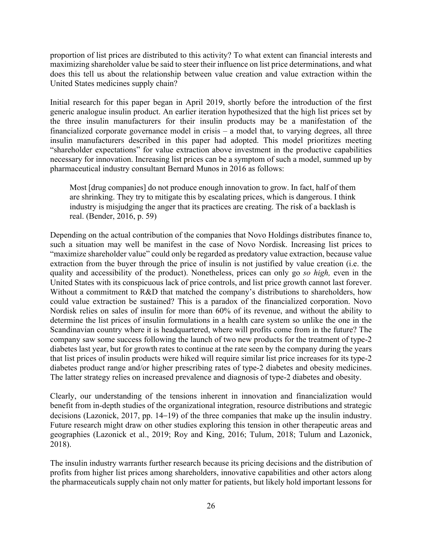proportion of list prices are distributed to this activity? To what extent can financial interests and maximizing shareholder value be said to steer their influence on list price determinations, and what does this tell us about the relationship between value creation and value extraction within the United States medicines supply chain?

Initial research for this paper began in April 2019, shortly before the introduction of the first generic analogue insulin product. An earlier iteration hypothesized that the high list prices set by the three insulin manufacturers for their insulin products may be a manifestation of the financialized corporate governance model in crisis – a model that, to varying degrees, all three insulin manufacturers described in this paper had adopted. This model prioritizes meeting "shareholder expectations" for value extraction above investment in the productive capabilities necessary for innovation. Increasing list prices can be a symptom of such a model, summed up by pharmaceutical industry consultant Bernard Munos in 2016 as follows:

Most [drug companies] do not produce enough innovation to grow. In fact, half of them are shrinking. They try to mitigate this by escalating prices, which is dangerous. I think industry is misjudging the anger that its practices are creating. The risk of a backlash is real. (Bender, 2016, p. 59)

Depending on the actual contribution of the companies that Novo Holdings distributes finance to, such a situation may well be manifest in the case of Novo Nordisk. Increasing list prices to "maximize shareholder value" could only be regarded as predatory value extraction, because value extraction from the buyer through the price of insulin is not justified by value creation (i.e. the quality and accessibility of the product). Nonetheless, prices can only go *so high,* even in the United States with its conspicuous lack of price controls, and list price growth cannot last forever. Without a commitment to R&D that matched the company's distributions to shareholders, how could value extraction be sustained? This is a paradox of the financialized corporation. Novo Nordisk relies on sales of insulin for more than 60% of its revenue, and without the ability to determine the list prices of insulin formulations in a health care system so unlike the one in the Scandinavian country where it is headquartered, where will profits come from in the future? The company saw some success following the launch of two new products for the treatment of type-2 diabetes last year, but for growth rates to continue at the rate seen by the company during the years that list prices of insulin products were hiked will require similar list price increases for its type-2 diabetes product range and/or higher prescribing rates of type-2 diabetes and obesity medicines. The latter strategy relies on increased prevalence and diagnosis of type-2 diabetes and obesity.

Clearly, our understanding of the tensions inherent in innovation and financialization would benefit from in-depth studies of the organizational integration, resource distributions and strategic decisions (Lazonick, 2017, pp. 14–19) of the three companies that make up the insulin industry. Future research might draw on other studies exploring this tension in other therapeutic areas and geographies (Lazonick et al., 2019; Roy and King, 2016; Tulum, 2018; Tulum and Lazonick, 2018).

The insulin industry warrants further research because its pricing decisions and the distribution of profits from higher list prices among shareholders, innovative capabilities and other actors along the pharmaceuticals supply chain not only matter for patients, but likely hold important lessons for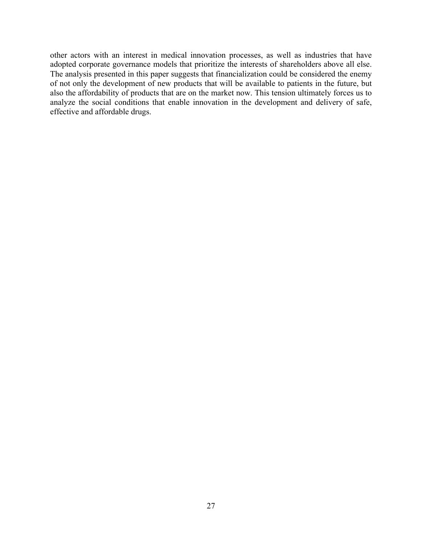other actors with an interest in medical innovation processes, as well as industries that have adopted corporate governance models that prioritize the interests of shareholders above all else. The analysis presented in this paper suggests that financialization could be considered the enemy of not only the development of new products that will be available to patients in the future, but also the affordability of products that are on the market now. This tension ultimately forces us to analyze the social conditions that enable innovation in the development and delivery of safe, effective and affordable drugs.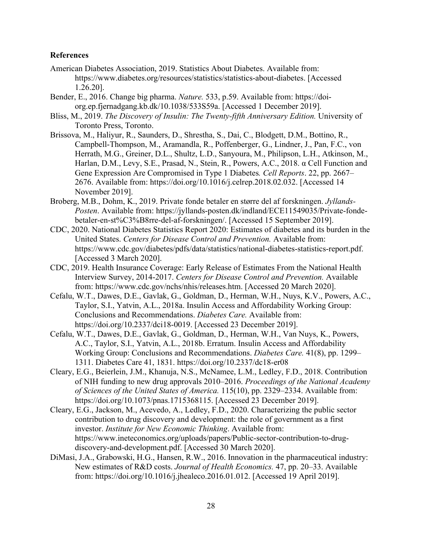#### **References**

- American Diabetes Association, 2019. Statistics About Diabetes. Available from: https://www.diabetes.org/resources/statistics/statistics-about-diabetes. [Accessed 1.26.20].
- Bender, E., 2016. Change big pharma. *Nature.* 533, p.59. Available from: https://doiorg.ep.fjernadgang.kb.dk/10.1038/533S59a. [Accessed 1 December 2019].
- Bliss, M., 2019. *The Discovery of Insulin: The Twenty-fifth Anniversary Edition.* University of Toronto Press, Toronto.
- Brissova, M., Haliyur, R., Saunders, D., Shrestha, S., Dai, C., Blodgett, D.M., Bottino, R., Campbell-Thompson, M., Aramandla, R., Poffenberger, G., Lindner, J., Pan, F.C., von Herrath, M.G., Greiner, D.L., Shultz, L.D., Sanyoura, M., Philipson, L.H., Atkinson, M., Harlan, D.M., Levy, S.E., Prasad, N., Stein, R., Powers, A.C., 2018. α Cell Function and Gene Expression Are Compromised in Type 1 Diabetes*. Cell Reports*. 22, pp. 2667– 2676. Available from: https://doi.org/10.1016/j.celrep.2018.02.032. [Accessed 14 November 2019].
- Broberg, M.B., Dohm, K., 2019. Private fonde betaler en større del af forskningen. *Jyllands-Posten*. Available from: https://jyllands-posten.dk/indland/ECE11549035/Private-fondebetaler-en-st%C3%B8rre-del-af-forskningen/. [Accessed 15 September 2019].
- CDC, 2020. National Diabetes Statistics Report 2020: Estimates of diabetes and its burden in the United States. *Centers for Disease Control and Prevention.* Available from: https://www.cdc.gov/diabetes/pdfs/data/statistics/national-diabetes-statistics-report.pdf. [Accessed 3 March 2020].
- CDC, 2019. Health Insurance Coverage: Early Release of Estimates From the National Health Interview Survey, 2014-2017. *Centers for Disease Control and Prevention.* Available from: https://www.cdc.gov/nchs/nhis/releases.htm. [Accessed 20 March 2020].
- Cefalu, W.T., Dawes, D.E., Gavlak, G., Goldman, D., Herman, W.H., Nuys, K.V., Powers, A.C., Taylor, S.I., Yatvin, A.L., 2018a. Insulin Access and Affordability Working Group: Conclusions and Recommendations. *Diabetes Care.* Available from: https://doi.org/10.2337/dci18-0019. [Accessed 23 December 2019].
- Cefalu, W.T., Dawes, D.E., Gavlak, G., Goldman, D., Herman, W.H., Van Nuys, K., Powers, A.C., Taylor, S.I., Yatvin, A.L., 2018b. Erratum. Insulin Access and Affordability Working Group: Conclusions and Recommendations. *Diabetes Care.* 41(8), pp. 1299– 1311. Diabetes Care 41, 1831. https://doi.org/10.2337/dc18-er08
- Cleary, E.G., Beierlein, J.M., Khanuja, N.S., McNamee, L.M., Ledley, F.D., 2018. Contribution of NIH funding to new drug approvals 2010–2016. *Proceedings of the National Academy of Sciences of the United States of America.* 115(10), pp. 2329–2334. Available from: https://doi.org/10.1073/pnas.1715368115. [Accessed 23 December 2019].
- Cleary, E.G., Jackson, M., Acevedo, A., Ledley, F.D., 2020. Characterizing the public sector contribution to drug discovery and development: the role of government as a first investor. *Institute for New Economic Thinking*. Available from: https://www.ineteconomics.org/uploads/papers/Public-sector-contribution-to-drugdiscovery-and-development.pdf. [Accessed 30 March 2020].
- DiMasi, J.A., Grabowski, H.G., Hansen, R.W., 2016. Innovation in the pharmaceutical industry: New estimates of R&D costs. *Journal of Health Economics.* 47, pp. 20–33. Available from: https://doi.org/10.1016/j.jhealeco.2016.01.012. [Accessed 19 April 2019].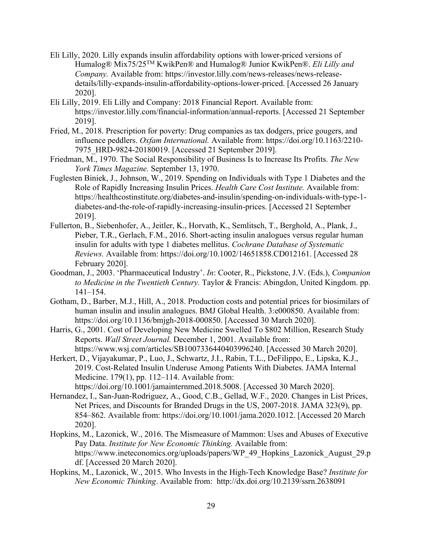- Eli Lilly, 2020. Lilly expands insulin affordability options with lower-priced versions of Humalog® Mix75/25TM KwikPen® and Humalog® Junior KwikPen®. *Eli Lilly and Company.* Available from: https://investor.lilly.com/news-releases/news-releasedetails/lilly-expands-insulin-affordability-options-lower-priced. [Accessed 26 January 2020].
- Eli Lilly, 2019. Eli Lilly and Company: 2018 Financial Report. Available from: https://investor.lilly.com/financial-information/annual-reports. [Accessed 21 September 2019].
- Fried, M., 2018. Prescription for poverty: Drug companies as tax dodgers, price gougers, and influence peddlers. *Oxfam International.* Available from: https://doi.org/10.1163/2210- 7975\_HRD-9824-20180019. [Accessed 21 September 2019].
- Friedman, M., 1970. The Social Responsibility of Business Is to Increase Its Profits. *The New York Times Magazine.* September 13, 1970.
- Fuglesten Biniek, J., Johnson, W., 2019. Spending on Individuals with Type 1 Diabetes and the Role of Rapidly Increasing Insulin Prices. *Health Care Cost Institute.* Available from: https://healthcostinstitute.org/diabetes-and-insulin/spending-on-individuals-with-type-1 diabetes-and-the-role-of-rapidly-increasing-insulin-prices. [Accessed 21 September 2019].
- Fullerton, B., Siebenhofer, A., Jeitler, K., Horvath, K., Semlitsch, T., Berghold, A., Plank, J., Pieber, T.R., Gerlach, F.M., 2016. Short‐acting insulin analogues versus regular human insulin for adults with type 1 diabetes mellitus. *Cochrane Database of Systematic Reviews.* Available from: https://doi.org/10.1002/14651858.CD012161. [Accessed 28 February 2020].
- Goodman, J., 2003. 'Pharmaceutical Industry'. *In*: Cooter, R., Pickstone, J.V. (Eds.), *Companion to Medicine in the Twentieth Century.* Taylor & Francis: Abingdon, United Kingdom. pp. 141–154.
- Gotham, D., Barber, M.J., Hill, A., 2018. Production costs and potential prices for biosimilars of human insulin and insulin analogues. BMJ Global Health. 3:e000850. Available from: https://doi.org/10.1136/bmjgh-2018-000850. [Accessed 30 March 2020].
- Harris, G., 2001. Cost of Developing New Medicine Swelled To \$802 Million, Research Study Reports. *Wall Street Journal.* December 1, 2001. Available from: https://www.wsj.com/articles/SB1007336440403996240. [Accessed 30 March 2020].
- Herkert, D., Vijayakumar, P., Luo, J., Schwartz, J.I., Rabin, T.L., DeFilippo, E., Lipska, K.J., 2019. Cost-Related Insulin Underuse Among Patients With Diabetes. JAMA Internal Medicine. 179(1), pp. 112–114. Available from: https://doi.org/10.1001/jamainternmed.2018.5008. [Accessed 30 March 2020].
- Hernandez, I., San-Juan-Rodriguez, A., Good, C.B., Gellad, W.F., 2020. Changes in List Prices, Net Prices, and Discounts for Branded Drugs in the US, 2007-2018. JAMA 323(9), pp. 854–862. Available from: https://doi.org/10.1001/jama.2020.1012. [Accessed 20 March 2020].
- Hopkins, M., Lazonick, W., 2016. The Mismeasure of Mammon: Uses and Abuses of Executive Pay Data. *Institute for New Economic Thinking.* Available from: https://www.ineteconomics.org/uploads/papers/WP\_49\_Hopkins\_Lazonick\_August\_29.p df. [Accessed 20 March 2020].
- Hopkins, M., Lazonick, W., 2015. Who Invests in the High-Tech Knowledge Base? *Institute for New Economic Thinking*. Available from: http://dx.doi.org/10.2139/ssrn.2638091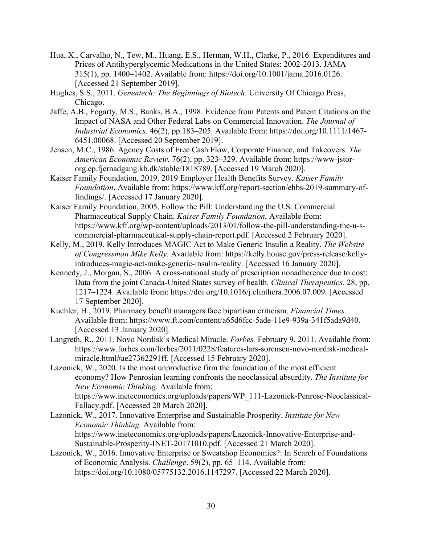- Hua, X., Carvalho, N., Tew, M., Huang, E.S., Herman, W.H., Clarke, P., 2016. Expenditures and Prices of Antihyperglycemic Medications in the United States: 2002-2013. JAMA 315(1), pp. 1400–1402. Available from: https://doi.org/10.1001/jama.2016.0126. [Accessed 21 September 2019].
- Hughes, S.S., 2011. *Genentech: The Beginnings of Biotech*. University Of Chicago Press, Chicago.
- Jaffe, A.B., Fogarty, M.S., Banks, B.A., 1998. Evidence from Patents and Patent Citations on the Impact of NASA and Other Federal Labs on Commercial Innovation. *The Journal of Industrial Economics*. 46(2), pp.183–205. Available from: https://doi.org/10.1111/1467- 6451.00068. [Accessed 20 September 2019].
- Jensen, M.C., 1986. Agency Costs of Free Cash Flow, Corporate Finance, and Takeovers. *The American Economic Review.* 76(2), pp. 323–329. Available from: https://www-jstororg.ep.fjernadgang.kb.dk/stable/1818789. [Accessed 19 March 2020].
- Kaiser Family Foundation, 2019. 2019 Employer Health Benefits Survey. *Kaiser Family Foundation*. Available from: https://www.kff.org/report-section/ehbs-2019-summary-offindings/. [Accessed 17 January 2020].
- Kaiser Family Foundation, 2005. Follow the Pill: Understanding the U.S. Commercial Pharmaceutical Supply Chain. *Kaiser Family Foundation.* Available from: https://www.kff.org/wp-content/uploads/2013/01/follow-the-pill-understanding-the-u-scommercial-pharmaceutical-supply-chain-report.pdf. [Accessed 2 February 2020].
- Kelly, M., 2019. Kelly Introduces MAGIC Act to Make Generic Insulin a Reality. *The Website of Congressman Mike Kelly*. Available from: https://kelly.house.gov/press-release/kellyintroduces-magic-act-make-generic-insulin-reality. [Accessed 16 January 2020].
- Kennedy, J., Morgan, S., 2006. A cross-national study of prescription nonadherence due to cost: Data from the joint Canada-United States survey of health. *Clinical Therapeutics.* 28, pp. 1217–1224. Available from: https://doi.org/10.1016/j.clinthera.2006.07.009. [Accessed 17 September 2020].
- Kuchler, H., 2019. Pharmacy benefit managers face bipartisan criticism. *Financial Times.*  Available from: https://www.ft.com/content/a65d6fcc-5ade-11e9-939a-341f5ada9d40. [Accessed 13 January 2020].
- Langreth, R., 2011. Novo Nordisk's Medical Miracle. *Forbes.* February 9, 2011. Available from: https://www.forbes.com/forbes/2011/0228/features-lars-sorensen-novo-nordisk-medicalmiracle.html#ae27362291ff. [Accessed 15 February 2020].

Lazonick, W., 2020. Is the most unproductive firm the foundation of the most efficient economy? How Penrosian learning confronts the neoclassical absurdity. *The Institute for New Economic Thinking.* Available from: https://www.ineteconomics.org/uploads/papers/WP\_111-Lazonick-Penrose-Neoclassical-Fallacy.pdf. [Accessed 20 March 2020].

- Lazonick, W., 2017. Innovative Enterprise and Sustainable Prosperity. *Institute for New Economic Thinking.* Available from: https://www.ineteconomics.org/uploads/papers/Lazonick-Innovative-Enterprise-and-Sustainable-Prosperity-INET-20171010.pdf. [Accessed 21 March 2020].
- Lazonick, W., 2016. Innovative Enterprise or Sweatshop Economics?: In Search of Foundations of Economic Analysis. *Challenge*. 59(2), pp. 65–114. Available from: https://doi.org/10.1080/05775132.2016.1147297. [Accessed 22 March 2020].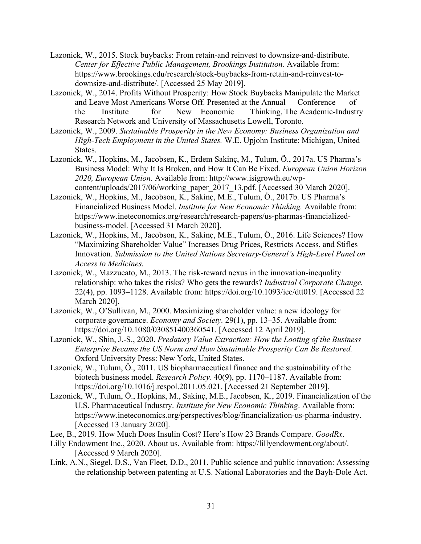- Lazonick, W., 2015. Stock buybacks: From retain-and reinvest to downsize-and-distribute. *Center for Effective Public Management, Brookings Institution.* Available from: https://www.brookings.edu/research/stock-buybacks-from-retain-and-reinvest-todownsize-and-distribute/. [Accessed 25 May 2019].
- Lazonick, W., 2014. Profits Without Prosperity: How Stock Buybacks Manipulate the Market and Leave Most Americans Worse Off. Presented at the Annual Conference of the Institute for New Economic Thinking, The Academic-Industry Research Network and University of Massachusetts Lowell, Toronto.
- Lazonick, W., 2009. *Sustainable Prosperity in the New Economy: Business Organization and High-Tech Employment in the United States.* W.E. Upjohn Institute: Michigan, United States.
- Lazonick, W., Hopkins, M., Jacobsen, K., Erdem Sakinç, M., Tulum, Ö., 2017a. US Pharma's Business Model: Why It Is Broken, and How It Can Be Fixed. *European Union Horizon 2020, European Union.* Available from: http://www.isigrowth.eu/wpcontent/uploads/2017/06/working\_paper\_2017\_13.pdf. [Accessed 30 March 2020].
- Lazonick, W., Hopkins, M., Jacobson, K., Sakinç, M.E., Tulum, Ö., 2017b. US Pharma's Financialized Business Model. *Institute for New Economic Thinking.* Available from: https://www.ineteconomics.org/research/research-papers/us-pharmas-financializedbusiness-model. [Accessed 31 March 2020].
- Lazonick, W., Hopkins, M., Jacobson, K., Sakinç, M.E., Tulum, Ö., 2016. Life Sciences? How "Maximizing Shareholder Value" Increases Drug Prices, Restricts Access, and Stifles Innovation. *Submission to the United Nations Secretary-General's High-Level Panel on Access to Medicines.*
- Lazonick, W., Mazzucato, M., 2013. The risk-reward nexus in the innovation-inequality relationship: who takes the risks? Who gets the rewards? *Industrial Corporate Change.* 22(4), pp. 1093–1128. Available from: https://doi.org/10.1093/icc/dtt019. [Accessed 22 March 2020].
- Lazonick, W., O'Sullivan, M., 2000. Maximizing shareholder value: a new ideology for corporate governance. *Economy and Society.* 29(1), pp. 13–35. Available from: https://doi.org/10.1080/030851400360541. [Accessed 12 April 2019].
- Lazonick, W., Shin, J.-S., 2020. *Predatory Value Extraction: How the Looting of the Business Enterprise Became the US Norm and How Sustainable Prosperity Can Be Restored.* Oxford University Press: New York, United States.
- Lazonick, W., Tulum, Ö., 2011. US biopharmaceutical finance and the sustainability of the biotech business model. *Research Policy*. 40(9), pp. 1170–1187. Available from: https://doi.org/10.1016/j.respol.2011.05.021. [Accessed 21 September 2019].
- Lazonick, W., Tulum, Ö., Hopkins, M., Sakinç, M.E., Jacobsen, K., 2019. Financialization of the U.S. Pharmaceutical Industry. *Institute for New Economic Thinking*. Available from: https://www.ineteconomics.org/perspectives/blog/financialization-us-pharma-industry. [Accessed 13 January 2020].
- Lee, B., 2019. How Much Does Insulin Cost? Here's How 23 Brands Compare. *GoodRx*.
- Lilly Endowment Inc., 2020. About us. Available from: https://lillyendowment.org/about/. [Accessed 9 March 2020].
- Link, A.N., Siegel, D.S., Van Fleet, D.D., 2011. Public science and public innovation: Assessing the relationship between patenting at U.S. National Laboratories and the Bayh-Dole Act.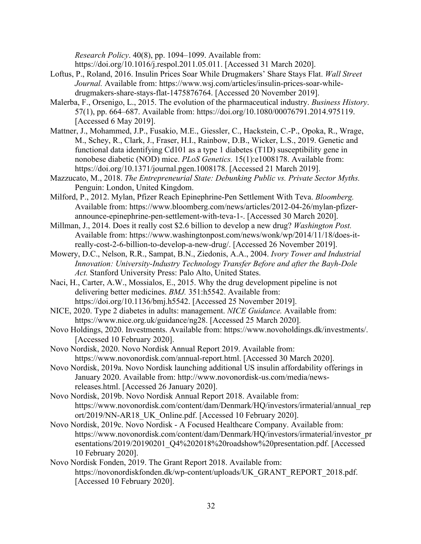*Research Policy*. 40(8), pp. 1094–1099. Available from:

https://doi.org/10.1016/j.respol.2011.05.011. [Accessed 31 March 2020].

- Loftus, P., Roland, 2016. Insulin Prices Soar While Drugmakers' Share Stays Flat. *Wall Street Journal.* Available from: https://www.wsj.com/articles/insulin-prices-soar-whiledrugmakers-share-stays-flat-1475876764. [Accessed 20 November 2019].
- Malerba, F., Orsenigo, L., 2015. The evolution of the pharmaceutical industry. *Business History*. 57(1), pp. 664–687. Available from: https://doi.org/10.1080/00076791.2014.975119. [Accessed 6 May 2019].
- Mattner, J., Mohammed, J.P., Fusakio, M.E., Giessler, C., Hackstein, C.-P., Opoka, R., Wrage, M., Schey, R., Clark, J., Fraser, H.I., Rainbow, D.B., Wicker, L.S., 2019. Genetic and functional data identifying Cd101 as a type 1 diabetes (T1D) susceptibility gene in nonobese diabetic (NOD) mice. *PLoS Genetics.* 15(1):e1008178. Available from: https://doi.org/10.1371/journal.pgen.1008178. [Accessed 21 March 2019].
- Mazzucato, M., 2018. *The Entrepreneurial State: Debunking Public vs. Private Sector Myths.* Penguin: London, United Kingdom.
- Milford, P., 2012. Mylan, Pfizer Reach Epinephrine-Pen Settlement With Teva. *Bloomberg.*  Available from: https://www.bloomberg.com/news/articles/2012-04-26/mylan-pfizerannounce-epinephrine-pen-settlement-with-teva-1-. [Accessed 30 March 2020].
- Millman, J., 2014. Does it really cost \$2.6 billion to develop a new drug? *Washington Post.* Available from: https://www.washingtonpost.com/news/wonk/wp/2014/11/18/does-itreally-cost-2-6-billion-to-develop-a-new-drug/. [Accessed 26 November 2019].
- Mowery, D.C., Nelson, R.R., Sampat, B.N., Ziedonis, A.A., 2004. *Ivory Tower and Industrial Innovation: University-Industry Technology Transfer Before and after the Bayh-Dole Act.* Stanford University Press: Palo Alto, United States.
- Naci, H., Carter, A.W., Mossialos, E., 2015. Why the drug development pipeline is not delivering better medicines. *BMJ.* 351:h5542. Available from: https://doi.org/10.1136/bmj.h5542. [Accessed 25 November 2019].
- NICE, 2020. Type 2 diabetes in adults: management. *NICE Guidance.* Available from: https://www.nice.org.uk/guidance/ng28. [Accessed 25 March 2020].
- Novo Holdings, 2020. Investments. Available from: https://www.novoholdings.dk/investments/. [Accessed 10 February 2020].
- Novo Nordisk, 2020. Novo Nordisk Annual Report 2019. Available from: https://www.novonordisk.com/annual-report.html. [Accessed 30 March 2020].
- Novo Nordisk, 2019a. Novo Nordisk launching additional US insulin affordability offerings in January 2020. Available from: http://www.novonordisk-us.com/media/newsreleases.html. [Accessed 26 January 2020].
- Novo Nordisk, 2019b. Novo Nordisk Annual Report 2018. Available from: https://www.novonordisk.com/content/dam/Denmark/HQ/investors/irmaterial/annual\_rep ort/2019/NN-AR18\_UK\_Online.pdf. [Accessed 10 February 2020].
- Novo Nordisk, 2019c. Novo Nordisk A Focused Healthcare Company. Available from: https://www.novonordisk.com/content/dam/Denmark/HQ/investors/irmaterial/investor\_pr esentations/2019/20190201\_Q4%202018%20roadshow%20presentation.pdf. [Accessed 10 February 2020].
- Novo Nordisk Fonden, 2019. The Grant Report 2018. Available from: https://novonordiskfonden.dk/wp-content/uploads/UK\_GRANT\_REPORT\_2018.pdf. [Accessed 10 February 2020].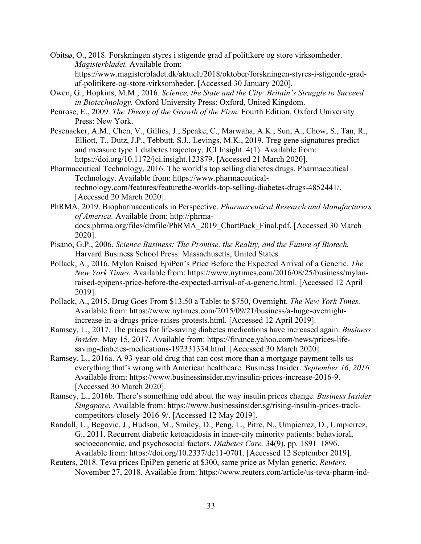Obitsø, O., 2018. Forskningen styres i stigende grad af politikere og store virksomheder. *Magisterbladet.* Available from: https://www.magisterbladet.dk/aktuelt/2018/oktober/forskningen-styres-i-stigende-gradaf-politikere-og-store-virksomheder. [Accessed 30 January 2020].

- Owen, G., Hopkins, M.M., 2016. *Science, the State and the City: Britain's Struggle to Succeed in Biotechnology.* Oxford University Press: Oxford, United Kingdom.
- Penrose, E., 2009. *The Theory of the Growth of the Firm.* Fourth Edition. Oxford University Press: New York.
- Pesenacker, A.M., Chen, V., Gillies, J., Speake, C., Marwaha, A.K., Sun, A., Chow, S., Tan, R., Elliott, T., Dutz, J.P., Tebbutt, S.J., Levings, M.K., 2019. Treg gene signatures predict and measure type 1 diabetes trajectory. JCI Insight. 4(1). Available from: https://doi.org/10.1172/jci.insight.123879. [Accessed 21 March 2020].
- Pharmaceutical Technology, 2016. The world's top selling diabetes drugs. Pharmaceutical Technology. Available from: https://www.pharmaceuticaltechnology.com/features/featurethe-worlds-top-selling-diabetes-drugs-4852441/. [Accessed 20 March 2020].
- PhRMA, 2019. Biopharmaceuticals in Perspective. *Pharmaceutical Research and Manufacturers of America.* Available from: http://phrmadocs.phrma.org/files/dmfile/PhRMA\_2019\_ChartPack\_Final.pdf. [Accessed 30 March 2020].
- Pisano, G.P., 2006. *Science Business: The Promise, the Reality, and the Future of Biotech.*  Harvard Business School Press: Massachusetts, United States.
- Pollack, A., 2016. Mylan Raised EpiPen's Price Before the Expected Arrival of a Generic. *The New York Times.* Available from: https://www.nytimes.com/2016/08/25/business/mylanraised-epipens-price-before-the-expected-arrival-of-a-generic.html. [Accessed 12 April 2019].
- Pollack, A., 2015. Drug Goes From \$13.50 a Tablet to \$750, Overnight. *The New York Times.* Available from: https://www.nytimes.com/2015/09/21/business/a-huge-overnightincrease-in-a-drugs-price-raises-protests.html. [Accessed 12 April 2019].
- Ramsey, L., 2017. The prices for life-saving diabetes medications have increased again. *Business Insider.* May 15, 2017. Available from: https://finance.yahoo.com/news/prices-lifesaving-diabetes-medications-192331334.html. [Accessed 30 March 2020].
- Ramsey, L., 2016a. A 93-year-old drug that can cost more than a mortgage payment tells us everything that's wrong with American healthcare. Business Insider. *September 16, 2016.*  Available from: https://www.businessinsider.my/insulin-prices-increase-2016-9. [Accessed 30 March 2020].
- Ramsey, L., 2016b. There's something odd about the way insulin prices change. *Business Insider Singapore.* Available from: https://www.businessinsider.sg/rising-insulin-prices-trackcompetitors-closely-2016-9/. [Accessed 12 May 2019].
- Randall, L., Begovic, J., Hudson, M., Smiley, D., Peng, L., Pitre, N., Umpierrez, D., Umpierrez, G., 2011. Recurrent diabetic ketoacidosis in inner-city minority patients: behavioral, socioeconomic, and psychosocial factors. *Diabetes Care.* 34(9), pp. 1891–1896. Available from: https://doi.org/10.2337/dc11-0701. [Accessed 12 September 2019].
- Reuters, 2018. Teva prices EpiPen generic at \$300, same price as Mylan generic. *Reuters.* November 27, 2018. Available from: https://www.reuters.com/article/us-teva-pharm-ind-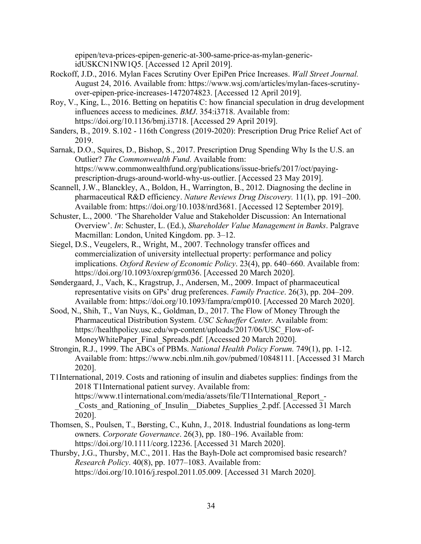epipen/teva-prices-epipen-generic-at-300-same-price-as-mylan-genericidUSKCN1NW1Q5. [Accessed 12 April 2019].

- Rockoff, J.D., 2016. Mylan Faces Scrutiny Over EpiPen Price Increases. *Wall Street Journal.* August 24, 2016. Available from: https://www.wsj.com/articles/mylan-faces-scrutinyover-epipen-price-increases-1472074823. [Accessed 12 April 2019].
- Roy, V., King, L., 2016. Betting on hepatitis C: how financial speculation in drug development influences access to medicines. *BMJ*. 354:i3718. Available from: https://doi.org/10.1136/bmj.i3718. [Accessed 29 April 2019].
- Sanders, B., 2019. S.102 116th Congress (2019-2020): Prescription Drug Price Relief Act of 2019.
- Sarnak, D.O., Squires, D., Bishop, S., 2017. Prescription Drug Spending Why Is the U.S. an Outlier? *The Commonwealth Fund.* Available from: https://www.commonwealthfund.org/publications/issue-briefs/2017/oct/payingprescription-drugs-around-world-why-us-outlier. [Accessed 23 May 2019].
- Scannell, J.W., Blanckley, A., Boldon, H., Warrington, B., 2012. Diagnosing the decline in pharmaceutical R&D efficiency. *Nature Reviews Drug Discovery.* 11(1), pp. 191–200. Available from: https://doi.org/10.1038/nrd3681. [Accessed 12 September 2019].
- Schuster, L., 2000. 'The Shareholder Value and Stakeholder Discussion: An International Overview'. *In*: Schuster, L. (Ed.), *Shareholder Value Management in Banks*. Palgrave Macmillan: London, United Kingdom. pp. 3–12.
- Siegel, D.S., Veugelers, R., Wright, M., 2007. Technology transfer offices and commercialization of university intellectual property: performance and policy implications. *Oxford Review of Economic Policy*. 23(4), pp. 640–660. Available from: https://doi.org/10.1093/oxrep/grm036. [Accessed 20 March 2020].
- Søndergaard, J., Vach, K., Kragstrup, J., Andersen, M., 2009. Impact of pharmaceutical representative visits on GPs' drug preferences. *Family Practice*. 26(3), pp. 204–209. Available from: https://doi.org/10.1093/fampra/cmp010. [Accessed 20 March 2020].
- Sood, N., Shih, T., Van Nuys, K., Goldman, D., 2017. The Flow of Money Through the Pharmaceutical Distribution System. *USC Schaeffer Center.* Available from: https://healthpolicy.usc.edu/wp-content/uploads/2017/06/USC\_Flow-of-MoneyWhitePaper\_Final\_Spreads.pdf. [Accessed 20 March 2020].
- Strongin, R.J., 1999. The ABCs of PBMs. *National Health Policy Forum.* 749(1), pp. 1-12. Available from: https://www.ncbi.nlm.nih.gov/pubmed/10848111. [Accessed 31 March 2020].
- T1International, 2019. Costs and rationing of insulin and diabetes supplies: findings from the 2018 T1International patient survey. Available from: https://www.t1international.com/media/assets/file/T1International\_Report\_- Costs and Rationing of Insulin Diabetes Supplies 2.pdf. [Accessed 31 March] 2020].
- Thomsen, S., Poulsen, T., Børsting, C., Kuhn, J., 2018. Industrial foundations as long-term owners. *Corporate Governance*. 26(3), pp. 180–196. Available from: https://doi.org/10.1111/corg.12236. [Accessed 31 March 2020].
- Thursby, J.G., Thursby, M.C., 2011. Has the Bayh-Dole act compromised basic research? *Research Policy*. 40(8), pp. 1077–1083. Available from: https://doi.org/10.1016/j.respol.2011.05.009. [Accessed 31 March 2020].